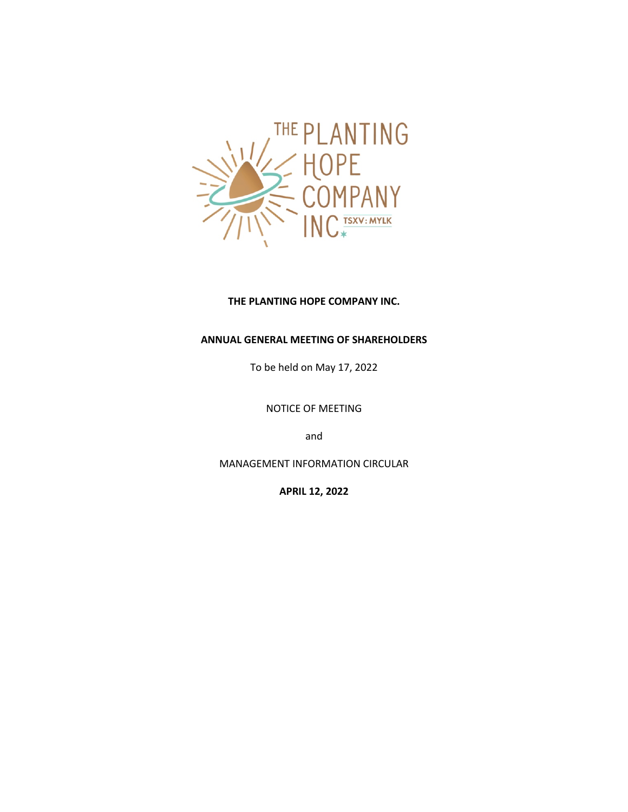

## **THE PLANTING HOPE COMPANY INC.**

# **ANNUAL GENERAL MEETING OF SHAREHOLDERS**

To be held on May 17, 2022

NOTICE OF MEETING

and

MANAGEMENT INFORMATION CIRCULAR

**APRIL 12, 2022**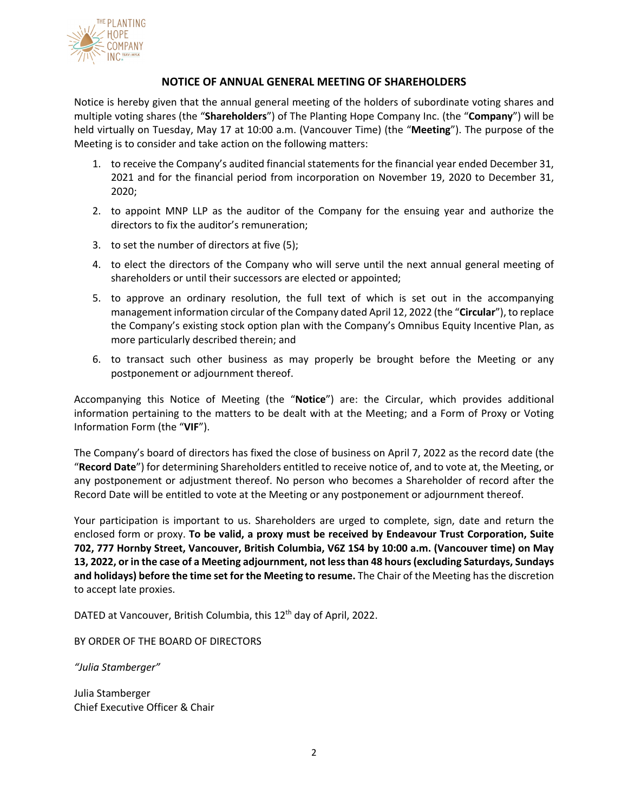

## **NOTICE OF ANNUAL GENERAL MEETING OF SHAREHOLDERS**

Notice is hereby given that the annual general meeting of the holders of subordinate voting shares and multiple voting shares (the "**Shareholders**") of The Planting Hope Company Inc. (the "**Company**") will be held virtually on Tuesday, May 17 at 10:00 a.m. (Vancouver Time) (the "**Meeting**"). The purpose of the Meeting is to consider and take action on the following matters:

- 1. to receive the Company's audited financial statements for the financial year ended December 31, 2021 and for the financial period from incorporation on November 19, 2020 to December 31, 2020;
- 2. to appoint MNP LLP as the auditor of the Company for the ensuing year and authorize the directors to fix the auditor's remuneration;
- 3. to set the number of directors at five (5);
- 4. to elect the directors of the Company who will serve until the next annual general meeting of shareholders or until their successors are elected or appointed;
- 5. to approve an ordinary resolution, the full text of which is set out in the accompanying management information circular of the Company dated April 12, 2022 (the "**Circular**"), to replace the Company's existing stock option plan with the Company's Omnibus Equity Incentive Plan, as more particularly described therein; and
- 6. to transact such other business as may properly be brought before the Meeting or any postponement or adjournment thereof.

Accompanying this Notice of Meeting (the "**Notice**") are: the Circular, which provides additional information pertaining to the matters to be dealt with at the Meeting; and a Form of Proxy or Voting Information Form (the "**VIF**").

The Company's board of directors has fixed the close of business on April 7, 2022 as the record date (the "**Record Date**") for determining Shareholders entitled to receive notice of, and to vote at, the Meeting, or any postponement or adjustment thereof. No person who becomes a Shareholder of record after the Record Date will be entitled to vote at the Meeting or any postponement or adjournment thereof.

Your participation is important to us. Shareholders are urged to complete, sign, date and return the enclosed form or proxy. **To be valid, a proxy must be received by Endeavour Trust Corporation, Suite 702, 777 Hornby Street, Vancouver, British Columbia, V6Z 1S4 by 10:00 a.m. (Vancouver time) on May 13, 2022, or in the case of a Meeting adjournment, not less than 48 hours (excluding Saturdays, Sundays and holidays) before the time set for the Meeting to resume.** The Chair of the Meeting has the discretion to accept late proxies.

DATED at Vancouver, British Columbia, this 12<sup>th</sup> day of April, 2022.

BY ORDER OF THE BOARD OF DIRECTORS

*"Julia Stamberger"*

Julia Stamberger Chief Executive Officer & Chair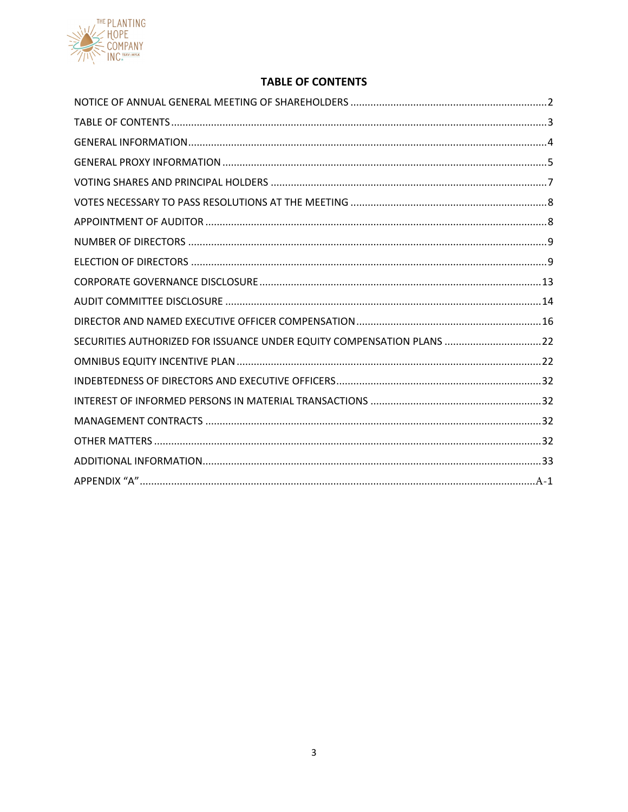

# **TABLE OF CONTENTS**

| SECURITIES AUTHORIZED FOR ISSUANCE UNDER EQUITY COMPENSATION PLANS 22 |  |
|-----------------------------------------------------------------------|--|
|                                                                       |  |
|                                                                       |  |
|                                                                       |  |
|                                                                       |  |
|                                                                       |  |
|                                                                       |  |
|                                                                       |  |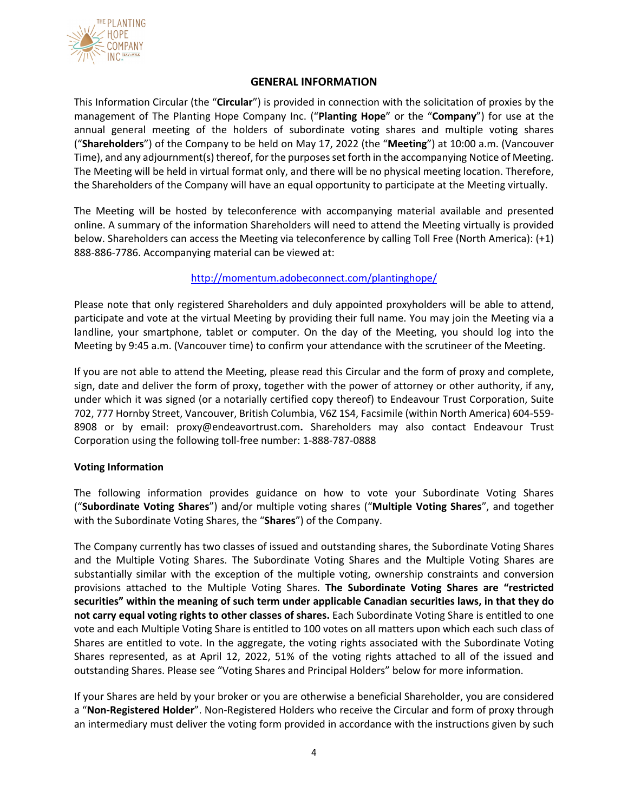

## **GENERAL INFORMATION**

This Information Circular (the "**Circular**") is provided in connection with the solicitation of proxies by the management of The Planting Hope Company Inc. ("**Planting Hope**" or the "**Company**") for use at the annual general meeting of the holders of subordinate voting shares and multiple voting shares ("**Shareholders**") of the Company to be held on May 17, 2022 (the "**Meeting**") at 10:00 a.m. (Vancouver Time), and any adjournment(s) thereof, for the purposes set forth in the accompanying Notice of Meeting. The Meeting will be held in virtual format only, and there will be no physical meeting location. Therefore, the Shareholders of the Company will have an equal opportunity to participate at the Meeting virtually.

The Meeting will be hosted by teleconference with accompanying material available and presented online. A summary of the information Shareholders will need to attend the Meeting virtually is provided below. Shareholders can access the Meeting via teleconference by calling Toll Free (North America): (+1) 888-886-7786. Accompanying material can be viewed at:

# http://momentum.adobeconnect.com/plantinghope/

Please note that only registered Shareholders and duly appointed proxyholders will be able to attend, participate and vote at the virtual Meeting by providing their full name. You may join the Meeting via a landline, your smartphone, tablet or computer. On the day of the Meeting, you should log into the Meeting by 9:45 a.m. (Vancouver time) to confirm your attendance with the scrutineer of the Meeting.

If you are not able to attend the Meeting, please read this Circular and the form of proxy and complete, sign, date and deliver the form of proxy, together with the power of attorney or other authority, if any, under which it was signed (or a notarially certified copy thereof) to Endeavour Trust Corporation, Suite 702, 777 Hornby Street, Vancouver, British Columbia, V6Z 1S4, Facsimile (within North America) 604-559- 8908 or by email: proxy@endeavortrust.com**.** Shareholders may also contact Endeavour Trust Corporation using the following toll-free number: 1-888-787-0888

### **Voting Information**

The following information provides guidance on how to vote your Subordinate Voting Shares ("**Subordinate Voting Shares**") and/or multiple voting shares ("**Multiple Voting Shares**", and together with the Subordinate Voting Shares, the "**Shares**") of the Company.

The Company currently has two classes of issued and outstanding shares, the Subordinate Voting Shares and the Multiple Voting Shares. The Subordinate Voting Shares and the Multiple Voting Shares are substantially similar with the exception of the multiple voting, ownership constraints and conversion provisions attached to the Multiple Voting Shares. **The Subordinate Voting Shares are "restricted securities" within the meaning of such term under applicable Canadian securities laws, in that they do not carry equal voting rights to other classes of shares.** Each Subordinate Voting Share is entitled to one vote and each Multiple Voting Share is entitled to 100 votes on all matters upon which each such class of Shares are entitled to vote. In the aggregate, the voting rights associated with the Subordinate Voting Shares represented, as at April 12, 2022, 51% of the voting rights attached to all of the issued and outstanding Shares. Please see "Voting Shares and Principal Holders" below for more information.

If your Shares are held by your broker or you are otherwise a beneficial Shareholder, you are considered a "**Non-Registered Holder**". Non-Registered Holders who receive the Circular and form of proxy through an intermediary must deliver the voting form provided in accordance with the instructions given by such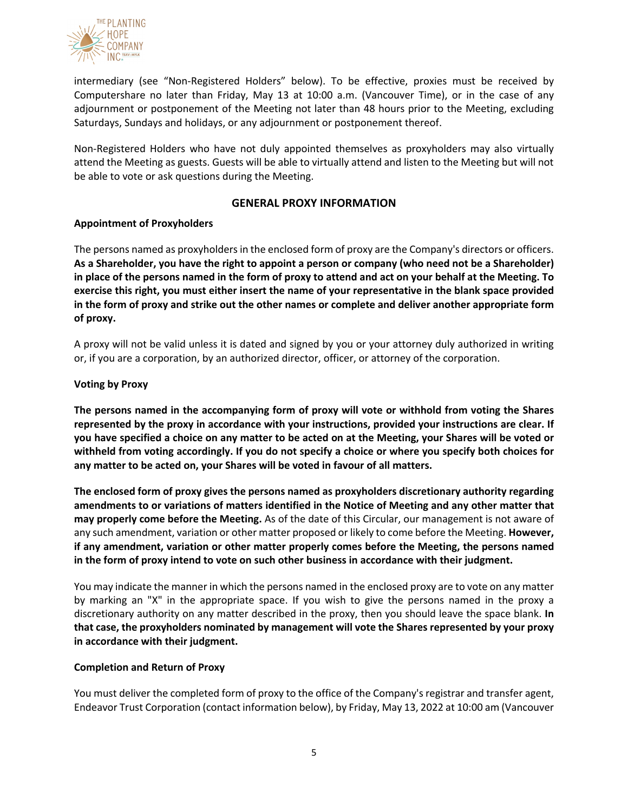

intermediary (see "Non-Registered Holders" below). To be effective, proxies must be received by Computershare no later than Friday, May 13 at 10:00 a.m. (Vancouver Time), or in the case of any adjournment or postponement of the Meeting not later than 48 hours prior to the Meeting, excluding Saturdays, Sundays and holidays, or any adjournment or postponement thereof.

Non-Registered Holders who have not duly appointed themselves as proxyholders may also virtually attend the Meeting as guests. Guests will be able to virtually attend and listen to the Meeting but will not be able to vote or ask questions during the Meeting.

## **GENERAL PROXY INFORMATION**

## **Appointment of Proxyholders**

The persons named as proxyholders in the enclosed form of proxy are the Company's directors or officers. **As a Shareholder, you have the right to appoint a person or company (who need not be a Shareholder) in place of the persons named in the form of proxy to attend and act on your behalf at the Meeting. To exercise this right, you must either insert the name of your representative in the blank space provided in the form of proxy and strike out the other names or complete and deliver another appropriate form of proxy.**

A proxy will not be valid unless it is dated and signed by you or your attorney duly authorized in writing or, if you are a corporation, by an authorized director, officer, or attorney of the corporation.

## **Voting by Proxy**

**The persons named in the accompanying form of proxy will vote or withhold from voting the Shares represented by the proxy in accordance with your instructions, provided your instructions are clear. If you have specified a choice on any matter to be acted on at the Meeting, your Shares will be voted or withheld from voting accordingly. If you do not specify a choice or where you specify both choices for any matter to be acted on, your Shares will be voted in favour of all matters.**

**The enclosed form of proxy gives the persons named as proxyholders discretionary authority regarding amendments to or variations of matters identified in the Notice of Meeting and any other matter that may properly come before the Meeting.** As of the date of this Circular, our management is not aware of any such amendment, variation or other matter proposed or likely to come before the Meeting. **However, if any amendment, variation or other matter properly comes before the Meeting, the persons named in the form of proxy intend to vote on such other business in accordance with their judgment.**

You may indicate the manner in which the persons named in the enclosed proxy are to vote on any matter by marking an "X" in the appropriate space. If you wish to give the persons named in the proxy a discretionary authority on any matter described in the proxy, then you should leave the space blank. **In that case, the proxyholders nominated by management will vote the Shares represented by your proxy in accordance with their judgment.**

### **Completion and Return of Proxy**

You must deliver the completed form of proxy to the office of the Company's registrar and transfer agent, Endeavor Trust Corporation (contact information below), by Friday, May 13, 2022 at 10:00 am (Vancouver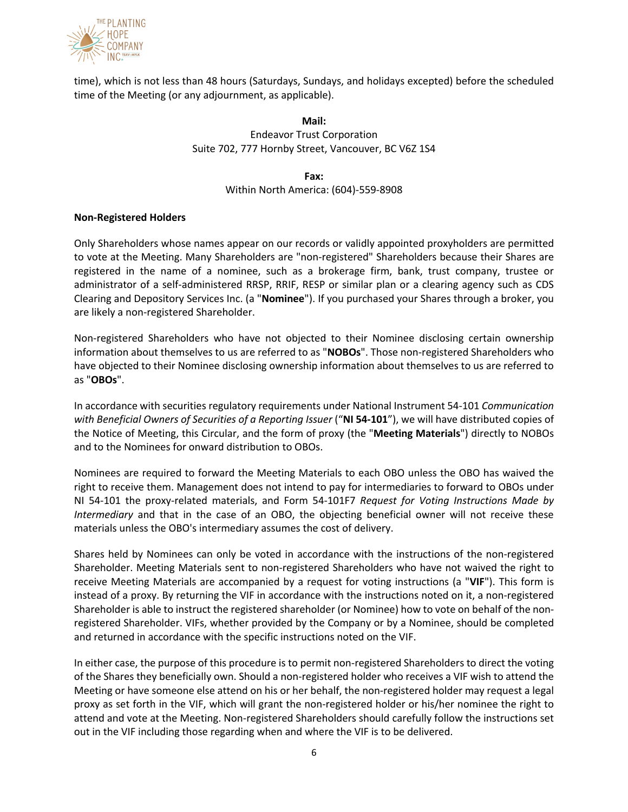

time), which is not less than 48 hours (Saturdays, Sundays, and holidays excepted) before the scheduled time of the Meeting (or any adjournment, as applicable).

> **Mail:** Endeavor Trust Corporation Suite 702, 777 Hornby Street, Vancouver, BC V6Z 1S4

> > **Fax:** Within North America: (604)-559-8908

### **Non-Registered Holders**

Only Shareholders whose names appear on our records or validly appointed proxyholders are permitted to vote at the Meeting. Many Shareholders are "non-registered" Shareholders because their Shares are registered in the name of a nominee, such as a brokerage firm, bank, trust company, trustee or administrator of a self-administered RRSP, RRIF, RESP or similar plan or a clearing agency such as CDS Clearing and Depository Services Inc. (a "**Nominee**"). If you purchased your Shares through a broker, you are likely a non-registered Shareholder.

Non-registered Shareholders who have not objected to their Nominee disclosing certain ownership information about themselves to us are referred to as "**NOBOs**". Those non-registered Shareholders who have objected to their Nominee disclosing ownership information about themselves to us are referred to as "**OBOs**".

In accordance with securities regulatory requirements under National Instrument 54-101 *Communication with Beneficial Owners of Securities of a Reporting Issuer* ("**NI 54-101**"), we will have distributed copies of the Notice of Meeting, this Circular, and the form of proxy (the "**Meeting Materials**") directly to NOBOs and to the Nominees for onward distribution to OBOs.

Nominees are required to forward the Meeting Materials to each OBO unless the OBO has waived the right to receive them. Management does not intend to pay for intermediaries to forward to OBOs under NI 54-101 the proxy-related materials, and Form 54-101F7 *Request for Voting Instructions Made by Intermediary* and that in the case of an OBO, the objecting beneficial owner will not receive these materials unless the OBO's intermediary assumes the cost of delivery.

Shares held by Nominees can only be voted in accordance with the instructions of the non-registered Shareholder. Meeting Materials sent to non-registered Shareholders who have not waived the right to receive Meeting Materials are accompanied by a request for voting instructions (a "**VIF**"). This form is instead of a proxy. By returning the VIF in accordance with the instructions noted on it, a non-registered Shareholder is able to instruct the registered shareholder (or Nominee) how to vote on behalf of the nonregistered Shareholder. VIFs, whether provided by the Company or by a Nominee, should be completed and returned in accordance with the specific instructions noted on the VIF.

In either case, the purpose of this procedure is to permit non-registered Shareholders to direct the voting of the Shares they beneficially own. Should a non-registered holder who receives a VIF wish to attend the Meeting or have someone else attend on his or her behalf, the non-registered holder may request a legal proxy as set forth in the VIF, which will grant the non-registered holder or his/her nominee the right to attend and vote at the Meeting. Non-registered Shareholders should carefully follow the instructions set out in the VIF including those regarding when and where the VIF is to be delivered.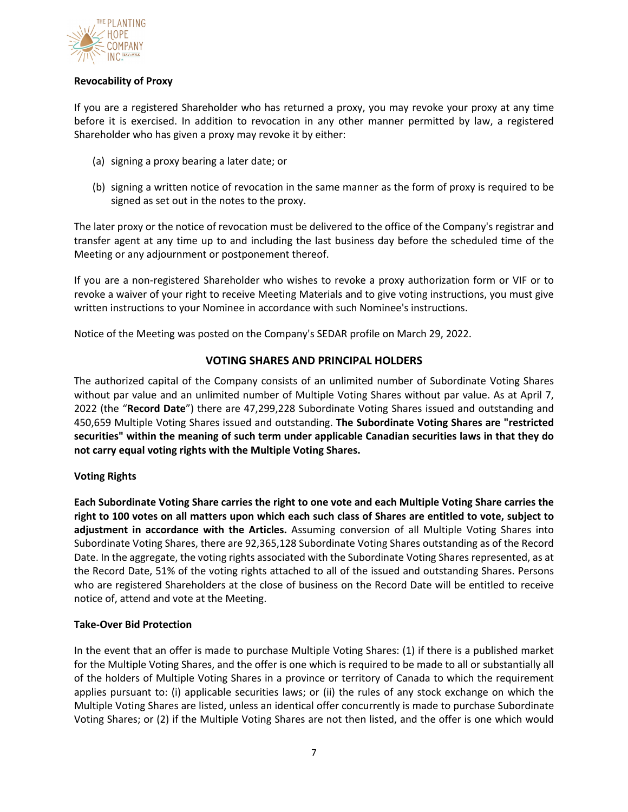

## **Revocability of Proxy**

If you are a registered Shareholder who has returned a proxy, you may revoke your proxy at any time before it is exercised. In addition to revocation in any other manner permitted by law, a registered Shareholder who has given a proxy may revoke it by either:

- (a) signing a proxy bearing a later date; or
- (b) signing a written notice of revocation in the same manner as the form of proxy is required to be signed as set out in the notes to the proxy.

The later proxy or the notice of revocation must be delivered to the office of the Company's registrar and transfer agent at any time up to and including the last business day before the scheduled time of the Meeting or any adjournment or postponement thereof.

If you are a non-registered Shareholder who wishes to revoke a proxy authorization form or VIF or to revoke a waiver of your right to receive Meeting Materials and to give voting instructions, you must give written instructions to your Nominee in accordance with such Nominee's instructions.

Notice of the Meeting was posted on the Company's SEDAR profile on March 29, 2022.

# **VOTING SHARES AND PRINCIPAL HOLDERS**

The authorized capital of the Company consists of an unlimited number of Subordinate Voting Shares without par value and an unlimited number of Multiple Voting Shares without par value. As at April 7, 2022 (the "**Record Date**") there are 47,299,228 Subordinate Voting Shares issued and outstanding and 450,659 Multiple Voting Shares issued and outstanding. **The Subordinate Voting Shares are "restricted securities" within the meaning of such term under applicable Canadian securities laws in that they do not carry equal voting rights with the Multiple Voting Shares.**

### **Voting Rights**

**Each Subordinate Voting Share carries the right to one vote and each Multiple Voting Share carries the right to 100 votes on all matters upon which each such class of Shares are entitled to vote, subject to adjustment in accordance with the Articles.** Assuming conversion of all Multiple Voting Shares into Subordinate Voting Shares, there are 92,365,128 Subordinate Voting Shares outstanding as of the Record Date. In the aggregate, the voting rights associated with the Subordinate Voting Shares represented, as at the Record Date, 51% of the voting rights attached to all of the issued and outstanding Shares. Persons who are registered Shareholders at the close of business on the Record Date will be entitled to receive notice of, attend and vote at the Meeting.

### **Take-Over Bid Protection**

In the event that an offer is made to purchase Multiple Voting Shares: (1) if there is a published market for the Multiple Voting Shares, and the offer is one which is required to be made to all or substantially all of the holders of Multiple Voting Shares in a province or territory of Canada to which the requirement applies pursuant to: (i) applicable securities laws; or (ii) the rules of any stock exchange on which the Multiple Voting Shares are listed, unless an identical offer concurrently is made to purchase Subordinate Voting Shares; or (2) if the Multiple Voting Shares are not then listed, and the offer is one which would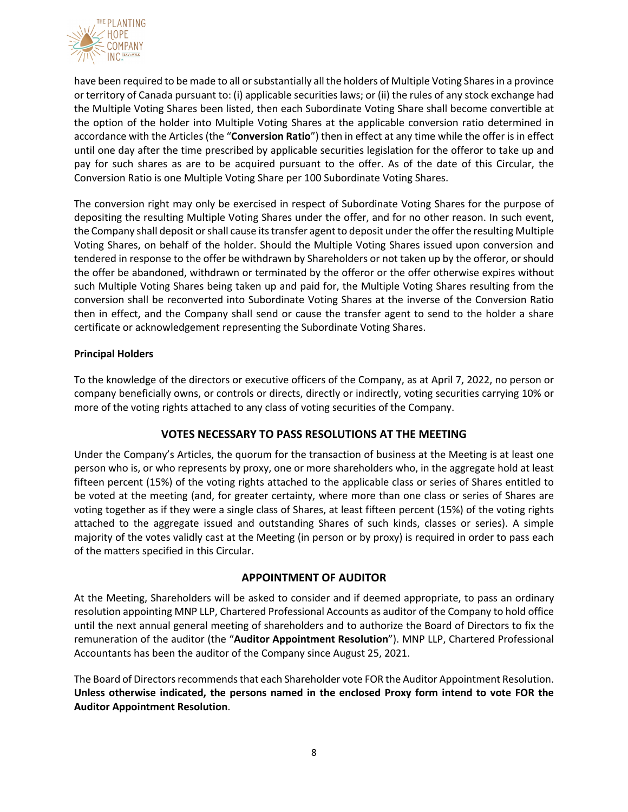

have been required to be made to all or substantially all the holders of Multiple Voting Shares in a province or territory of Canada pursuant to: (i) applicable securities laws; or (ii) the rules of any stock exchange had the Multiple Voting Shares been listed, then each Subordinate Voting Share shall become convertible at the option of the holder into Multiple Voting Shares at the applicable conversion ratio determined in accordance with the Articles (the "**Conversion Ratio**") then in effect at any time while the offer is in effect until one day after the time prescribed by applicable securities legislation for the offeror to take up and pay for such shares as are to be acquired pursuant to the offer. As of the date of this Circular, the Conversion Ratio is one Multiple Voting Share per 100 Subordinate Voting Shares.

The conversion right may only be exercised in respect of Subordinate Voting Shares for the purpose of depositing the resulting Multiple Voting Shares under the offer, and for no other reason. In such event, the Company shall deposit or shall cause its transfer agent to deposit under the offer the resulting Multiple Voting Shares, on behalf of the holder. Should the Multiple Voting Shares issued upon conversion and tendered in response to the offer be withdrawn by Shareholders or not taken up by the offeror, or should the offer be abandoned, withdrawn or terminated by the offeror or the offer otherwise expires without such Multiple Voting Shares being taken up and paid for, the Multiple Voting Shares resulting from the conversion shall be reconverted into Subordinate Voting Shares at the inverse of the Conversion Ratio then in effect, and the Company shall send or cause the transfer agent to send to the holder a share certificate or acknowledgement representing the Subordinate Voting Shares.

## **Principal Holders**

To the knowledge of the directors or executive officers of the Company, as at April 7, 2022, no person or company beneficially owns, or controls or directs, directly or indirectly, voting securities carrying 10% or more of the voting rights attached to any class of voting securities of the Company.

# **VOTES NECESSARY TO PASS RESOLUTIONS AT THE MEETING**

Under the Company's Articles, the quorum for the transaction of business at the Meeting is at least one person who is, or who represents by proxy, one or more shareholders who, in the aggregate hold at least fifteen percent (15%) of the voting rights attached to the applicable class or series of Shares entitled to be voted at the meeting (and, for greater certainty, where more than one class or series of Shares are voting together as if they were a single class of Shares, at least fifteen percent (15%) of the voting rights attached to the aggregate issued and outstanding Shares of such kinds, classes or series). A simple majority of the votes validly cast at the Meeting (in person or by proxy) is required in order to pass each of the matters specified in this Circular.

# **APPOINTMENT OF AUDITOR**

At the Meeting, Shareholders will be asked to consider and if deemed appropriate, to pass an ordinary resolution appointing MNP LLP, Chartered Professional Accounts as auditor of the Company to hold office until the next annual general meeting of shareholders and to authorize the Board of Directors to fix the remuneration of the auditor (the "**Auditor Appointment Resolution**"). MNP LLP, Chartered Professional Accountants has been the auditor of the Company since August 25, 2021.

The Board of Directors recommends that each Shareholder vote FOR the Auditor Appointment Resolution. **Unless otherwise indicated, the persons named in the enclosed Proxy form intend to vote FOR the Auditor Appointment Resolution**.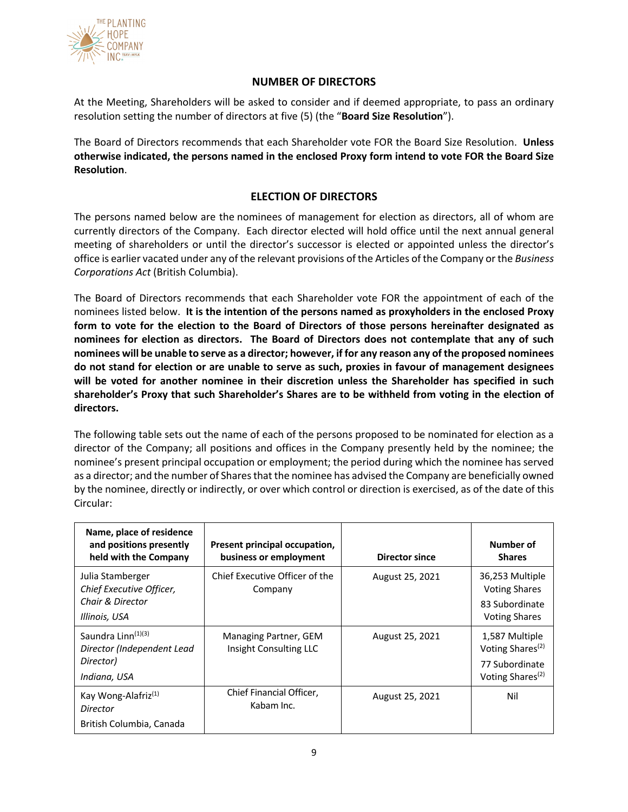

# **NUMBER OF DIRECTORS**

At the Meeting, Shareholders will be asked to consider and if deemed appropriate, to pass an ordinary resolution setting the number of directors at five (5) (the "**Board Size Resolution**").

The Board of Directors recommends that each Shareholder vote FOR the Board Size Resolution. **Unless otherwise indicated, the persons named in the enclosed Proxy form intend to vote FOR the Board Size Resolution**.

# **ELECTION OF DIRECTORS**

The persons named below are the nominees of management for election as directors, all of whom are currently directors of the Company. Each director elected will hold office until the next annual general meeting of shareholders or until the director's successor is elected or appointed unless the director's office is earlier vacated under any of the relevant provisions of the Articles of the Company or the *Business Corporations Act* (British Columbia).

The Board of Directors recommends that each Shareholder vote FOR the appointment of each of the nominees listed below. **It is the intention of the persons named as proxyholders in the enclosed Proxy form to vote for the election to the Board of Directors of those persons hereinafter designated as nominees for election as directors. The Board of Directors does not contemplate that any of such nominees will be unable to serve as a director; however, if for any reason any of the proposed nominees do not stand for election or are unable to serve as such, proxies in favour of management designees will be voted for another nominee in their discretion unless the Shareholder has specified in such shareholder's Proxy that such Shareholder's Shares are to be withheld from voting in the election of directors.**

The following table sets out the name of each of the persons proposed to be nominated for election as a director of the Company; all positions and offices in the Company presently held by the nominee; the nominee's present principal occupation or employment; the period during which the nominee has served as a director; and the number of Shares that the nominee has advised the Company are beneficially owned by the nominee, directly or indirectly, or over which control or direction is exercised, as of the date of this Circular:

| Name, place of residence<br>and positions presently<br>held with the Company | Present principal occupation,<br>business or employment | <b>Director since</b> | Number of<br><b>Shares</b>                                       |
|------------------------------------------------------------------------------|---------------------------------------------------------|-----------------------|------------------------------------------------------------------|
| Julia Stamberger<br>Chief Executive Officer,<br>Chair & Director             | Chief Executive Officer of the<br>Company               | August 25, 2021       | 36,253 Multiple<br><b>Voting Shares</b><br>83 Subordinate        |
| Illinois, USA                                                                |                                                         |                       | <b>Voting Shares</b>                                             |
| Saundra Linn <sup>(1)(3)</sup><br>Director (Independent Lead<br>Director)    | Managing Partner, GEM<br>Insight Consulting LLC         | August 25, 2021       | 1,587 Multiple<br>Voting Shares <sup>(2)</sup><br>77 Subordinate |
| Indiana, USA                                                                 |                                                         |                       | Voting Shares <sup>(2)</sup>                                     |
| Kay Wong-Alafriz <sup>(1)</sup><br>Director                                  | Chief Financial Officer,<br>Kabam Inc.                  | August 25, 2021       | Nil                                                              |
| British Columbia, Canada                                                     |                                                         |                       |                                                                  |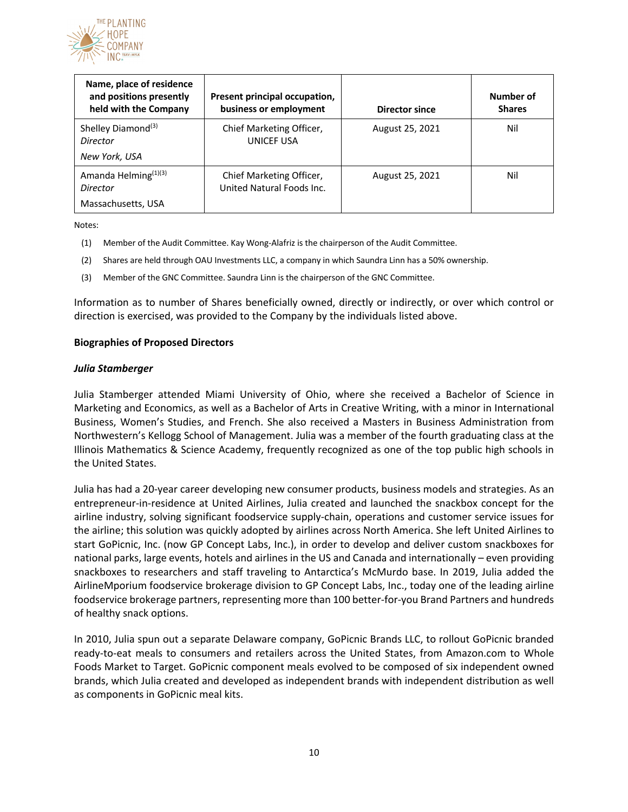

| Name, place of residence<br>and positions presently<br>held with the Company | Present principal occupation,<br>business or employment | Director since  | Number of<br><b>Shares</b> |
|------------------------------------------------------------------------------|---------------------------------------------------------|-----------------|----------------------------|
| Shelley Diamond <sup>(3)</sup><br>Director<br>New York, USA                  | Chief Marketing Officer,<br>UNICEF USA                  | August 25, 2021 | Nil                        |
| Amanda Helming <sup>(1)(3)</sup><br>Director<br>Massachusetts, USA           | Chief Marketing Officer,<br>United Natural Foods Inc.   | August 25, 2021 | Nil                        |

Notes:

- (1) Member of the Audit Committee. Kay Wong-Alafriz is the chairperson of the Audit Committee.
- (2) Shares are held through OAU Investments LLC, a company in which Saundra Linn has a 50% ownership.
- (3) Member of the GNC Committee. Saundra Linn is the chairperson of the GNC Committee.

Information as to number of Shares beneficially owned, directly or indirectly, or over which control or direction is exercised, was provided to the Company by the individuals listed above.

#### **Biographies of Proposed Directors**

#### *Julia Stamberger*

Julia Stamberger attended Miami University of Ohio, where she received a Bachelor of Science in Marketing and Economics, as well as a Bachelor of Arts in Creative Writing, with a minor in International Business, Women's Studies, and French. She also received a Masters in Business Administration from Northwestern's Kellogg School of Management. Julia was a member of the fourth graduating class at the Illinois Mathematics & Science Academy, frequently recognized as one of the top public high schools in the United States.

Julia has had a 20-year career developing new consumer products, business models and strategies. As an entrepreneur-in-residence at United Airlines, Julia created and launched the snackbox concept for the airline industry, solving significant foodservice supply-chain, operations and customer service issues for the airline; this solution was quickly adopted by airlines across North America. She left United Airlines to start GoPicnic, Inc. (now GP Concept Labs, Inc.), in order to develop and deliver custom snackboxes for national parks, large events, hotels and airlines in the US and Canada and internationally – even providing snackboxes to researchers and staff traveling to Antarctica's McMurdo base. In 2019, Julia added the AirlineMporium foodservice brokerage division to GP Concept Labs, Inc., today one of the leading airline foodservice brokerage partners, representing more than 100 better-for-you Brand Partners and hundreds of healthy snack options.

In 2010, Julia spun out a separate Delaware company, GoPicnic Brands LLC, to rollout GoPicnic branded ready-to-eat meals to consumers and retailers across the United States, from Amazon.com to Whole Foods Market to Target. GoPicnic component meals evolved to be composed of six independent owned brands, which Julia created and developed as independent brands with independent distribution as well as components in GoPicnic meal kits.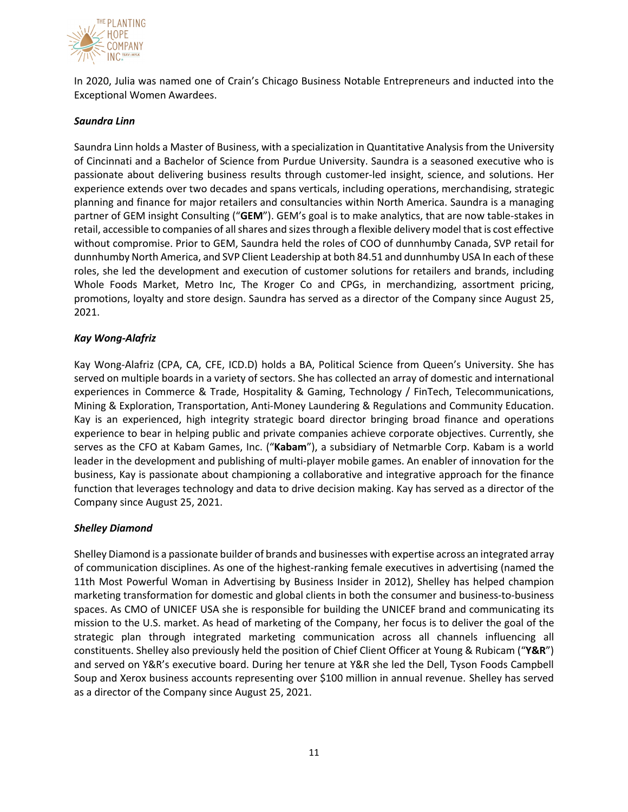

In 2020, Julia was named one of Crain's Chicago Business Notable Entrepreneurs and inducted into the Exceptional Women Awardees.

## *Saundra Linn*

Saundra Linn holds a Master of Business, with a specialization in Quantitative Analysis from the University of Cincinnati and a Bachelor of Science from Purdue University. Saundra is a seasoned executive who is passionate about delivering business results through customer-led insight, science, and solutions. Her experience extends over two decades and spans verticals, including operations, merchandising, strategic planning and finance for major retailers and consultancies within North America. Saundra is a managing partner of GEM insight Consulting ("**GEM**"). GEM's goal is to make analytics, that are now table-stakes in retail, accessible to companies of all shares and sizes through a flexible delivery model that is cost effective without compromise. Prior to GEM, Saundra held the roles of COO of dunnhumby Canada, SVP retail for dunnhumby North America, and SVP Client Leadership at both 84.51 and dunnhumby USA In each of these roles, she led the development and execution of customer solutions for retailers and brands, including Whole Foods Market, Metro Inc, The Kroger Co and CPGs, in merchandizing, assortment pricing, promotions, loyalty and store design. Saundra has served as a director of the Company since August 25, 2021.

## *Kay Wong-Alafriz*

Kay Wong-Alafriz (CPA, CA, CFE, ICD.D) holds a BA, Political Science from Queen's University. She has served on multiple boards in a variety of sectors. She has collected an array of domestic and international experiences in Commerce & Trade, Hospitality & Gaming, Technology / FinTech, Telecommunications, Mining & Exploration, Transportation, Anti-Money Laundering & Regulations and Community Education. Kay is an experienced, high integrity strategic board director bringing broad finance and operations experience to bear in helping public and private companies achieve corporate objectives. Currently, she serves as the CFO at Kabam Games, Inc. ("**Kabam**"), a subsidiary of Netmarble Corp. Kabam is a world leader in the development and publishing of multi-player mobile games. An enabler of innovation for the business, Kay is passionate about championing a collaborative and integrative approach for the finance function that leverages technology and data to drive decision making. Kay has served as a director of the Company since August 25, 2021.

### *Shelley Diamond*

Shelley Diamond is a passionate builder of brands and businesses with expertise across an integrated array of communication disciplines. As one of the highest-ranking female executives in advertising (named the 11th Most Powerful Woman in Advertising by Business Insider in 2012), Shelley has helped champion marketing transformation for domestic and global clients in both the consumer and business-to-business spaces. As CMO of UNICEF USA she is responsible for building the UNICEF brand and communicating its mission to the U.S. market. As head of marketing of the Company, her focus is to deliver the goal of the strategic plan through integrated marketing communication across all channels influencing all constituents. Shelley also previously held the position of Chief Client Officer at Young & Rubicam ("**Y&R**") and served on Y&R's executive board. During her tenure at Y&R she led the Dell, Tyson Foods Campbell Soup and Xerox business accounts representing over \$100 million in annual revenue. Shelley has served as a director of the Company since August 25, 2021.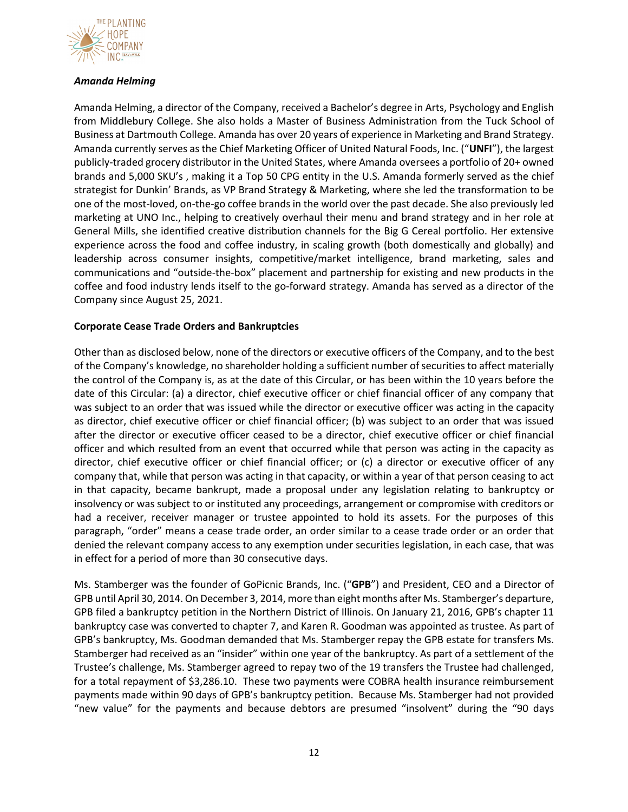

## *Amanda Helming*

Amanda Helming, a director of the Company, received a Bachelor's degree in Arts, Psychology and English from Middlebury College. She also holds a Master of Business Administration from the Tuck School of Business at Dartmouth College. Amanda has over 20 years of experience in Marketing and Brand Strategy. Amanda currently serves as the Chief Marketing Officer of United Natural Foods, Inc. ("**UNFI**"), the largest publicly-traded grocery distributor in the United States, where Amanda oversees a portfolio of 20+ owned brands and 5,000 SKU's , making it a Top 50 CPG entity in the U.S. Amanda formerly served as the chief strategist for Dunkin' Brands, as VP Brand Strategy & Marketing, where she led the transformation to be one of the most-loved, on-the-go coffee brands in the world over the past decade. She also previously led marketing at UNO Inc., helping to creatively overhaul their menu and brand strategy and in her role at General Mills, she identified creative distribution channels for the Big G Cereal portfolio. Her extensive experience across the food and coffee industry, in scaling growth (both domestically and globally) and leadership across consumer insights, competitive/market intelligence, brand marketing, sales and communications and "outside-the-box" placement and partnership for existing and new products in the coffee and food industry lends itself to the go-forward strategy. Amanda has served as a director of the Company since August 25, 2021.

## **Corporate Cease Trade Orders and Bankruptcies**

Other than as disclosed below, none of the directors or executive officers of the Company, and to the best of the Company's knowledge, no shareholder holding a sufficient number of securities to affect materially the control of the Company is, as at the date of this Circular, or has been within the 10 years before the date of this Circular: (a) a director, chief executive officer or chief financial officer of any company that was subject to an order that was issued while the director or executive officer was acting in the capacity as director, chief executive officer or chief financial officer; (b) was subject to an order that was issued after the director or executive officer ceased to be a director, chief executive officer or chief financial officer and which resulted from an event that occurred while that person was acting in the capacity as director, chief executive officer or chief financial officer; or (c) a director or executive officer of any company that, while that person was acting in that capacity, or within a year of that person ceasing to act in that capacity, became bankrupt, made a proposal under any legislation relating to bankruptcy or insolvency or was subject to or instituted any proceedings, arrangement or compromise with creditors or had a receiver, receiver manager or trustee appointed to hold its assets. For the purposes of this paragraph, "order" means a cease trade order, an order similar to a cease trade order or an order that denied the relevant company access to any exemption under securities legislation, in each case, that was in effect for a period of more than 30 consecutive days.

Ms. Stamberger was the founder of GoPicnic Brands, Inc. ("**GPB**") and President, CEO and a Director of GPB until April 30, 2014. On December 3, 2014, more than eight months after Ms. Stamberger's departure, GPB filed a bankruptcy petition in the Northern District of Illinois. On January 21, 2016, GPB's chapter 11 bankruptcy case was converted to chapter 7, and Karen R. Goodman was appointed as trustee. As part of GPB's bankruptcy, Ms. Goodman demanded that Ms. Stamberger repay the GPB estate for transfers Ms. Stamberger had received as an "insider" within one year of the bankruptcy. As part of a settlement of the Trustee's challenge, Ms. Stamberger agreed to repay two of the 19 transfers the Trustee had challenged, for a total repayment of \$3,286.10. These two payments were COBRA health insurance reimbursement payments made within 90 days of GPB's bankruptcy petition. Because Ms. Stamberger had not provided "new value" for the payments and because debtors are presumed "insolvent" during the "90 days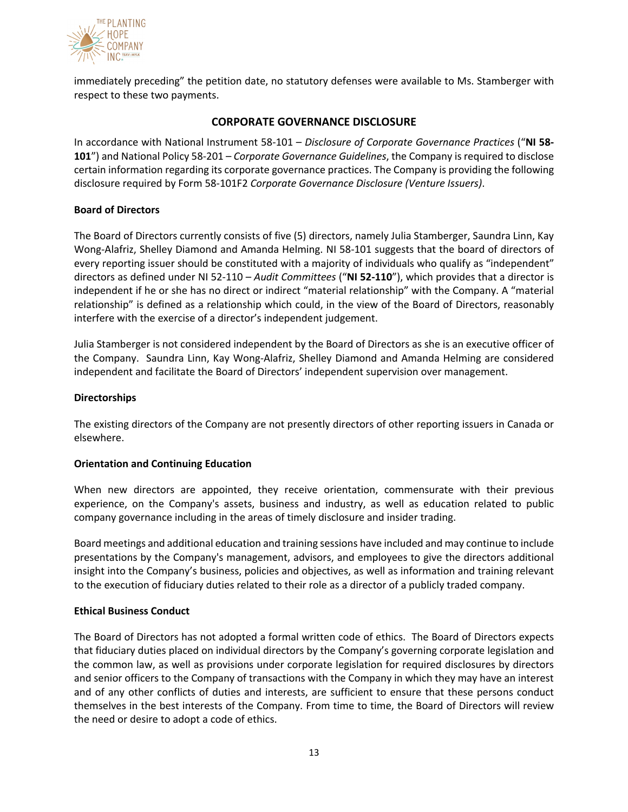

immediately preceding" the petition date, no statutory defenses were available to Ms. Stamberger with respect to these two payments.

## **CORPORATE GOVERNANCE DISCLOSURE**

In accordance with National Instrument 58-101 – *Disclosure of Corporate Governance Practices* ("**NI 58- 101**") and National Policy 58-201 – *Corporate Governance Guidelines*, the Company is required to disclose certain information regarding its corporate governance practices. The Company is providing the following disclosure required by Form 58-101F2 *Corporate Governance Disclosure (Venture Issuers)*.

### **Board of Directors**

The Board of Directors currently consists of five (5) directors, namely Julia Stamberger, Saundra Linn, Kay Wong-Alafriz, Shelley Diamond and Amanda Helming. NI 58-101 suggests that the board of directors of every reporting issuer should be constituted with a majority of individuals who qualify as "independent" directors as defined under NI 52-110 – *Audit Committees* ("**NI 52-110**"), which provides that a director is independent if he or she has no direct or indirect "material relationship" with the Company. A "material relationship" is defined as a relationship which could, in the view of the Board of Directors, reasonably interfere with the exercise of a director's independent judgement.

Julia Stamberger is not considered independent by the Board of Directors as she is an executive officer of the Company.Saundra Linn, Kay Wong-Alafriz, Shelley Diamond and Amanda Helming are considered independent and facilitate the Board of Directors' independent supervision over management.

## **Directorships**

The existing directors of the Company are not presently directors of other reporting issuers in Canada or elsewhere.

### **Orientation and Continuing Education**

When new directors are appointed, they receive orientation, commensurate with their previous experience, on the Company's assets, business and industry, as well as education related to public company governance including in the areas of timely disclosure and insider trading.

Board meetings and additional education and training sessions have included and may continue to include presentations by the Company's management, advisors, and employees to give the directors additional insight into the Company's business, policies and objectives, as well as information and training relevant to the execution of fiduciary duties related to their role as a director of a publicly traded company.

### **Ethical Business Conduct**

The Board of Directors has not adopted a formal written code of ethics. The Board of Directors expects that fiduciary duties placed on individual directors by the Company's governing corporate legislation and the common law, as well as provisions under corporate legislation for required disclosures by directors and senior officers to the Company of transactions with the Company in which they may have an interest and of any other conflicts of duties and interests, are sufficient to ensure that these persons conduct themselves in the best interests of the Company. From time to time, the Board of Directors will review the need or desire to adopt a code of ethics.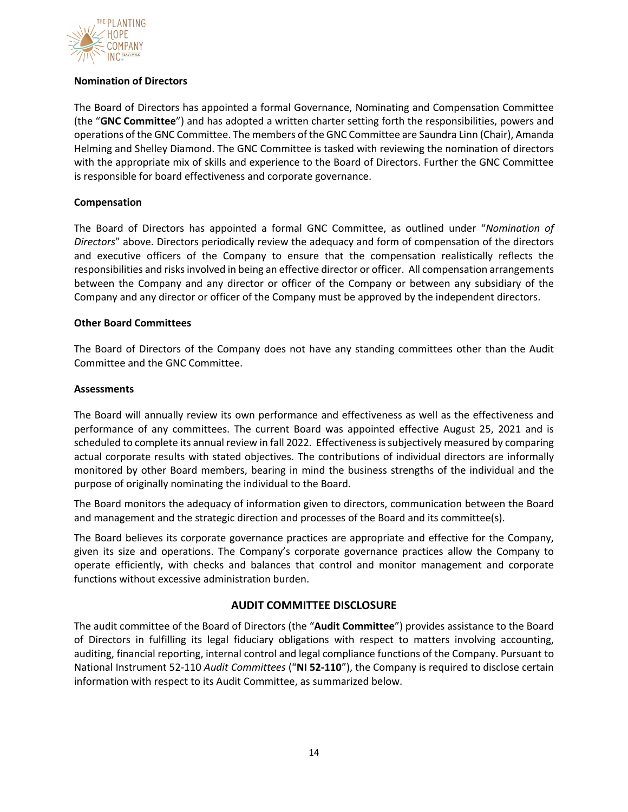

## **Nomination of Directors**

The Board of Directors has appointed a formal Governance, Nominating and Compensation Committee (the "**GNC Committee**") and has adopted a written charter setting forth the responsibilities, powers and operations of the GNC Committee. The members of the GNC Committee are Saundra Linn (Chair), Amanda Helming and Shelley Diamond. The GNC Committee is tasked with reviewing the nomination of directors with the appropriate mix of skills and experience to the Board of Directors. Further the GNC Committee is responsible for board effectiveness and corporate governance.

## **Compensation**

The Board of Directors has appointed a formal GNC Committee, as outlined under "*Nomination of Directors*" above. Directors periodically review the adequacy and form of compensation of the directors and executive officers of the Company to ensure that the compensation realistically reflects the responsibilities and risks involved in being an effective director or officer. All compensation arrangements between the Company and any director or officer of the Company or between any subsidiary of the Company and any director or officer of the Company must be approved by the independent directors.

### **Other Board Committees**

The Board of Directors of the Company does not have any standing committees other than the Audit Committee and the GNC Committee.

### **Assessments**

The Board will annually review its own performance and effectiveness as well as the effectiveness and performance of any committees. The current Board was appointed effective August 25, 2021 and is scheduled to complete its annual review in fall 2022. Effectiveness is subjectively measured by comparing actual corporate results with stated objectives. The contributions of individual directors are informally monitored by other Board members, bearing in mind the business strengths of the individual and the purpose of originally nominating the individual to the Board.

The Board monitors the adequacy of information given to directors, communication between the Board and management and the strategic direction and processes of the Board and its committee(s).

The Board believes its corporate governance practices are appropriate and effective for the Company, given its size and operations. The Company's corporate governance practices allow the Company to operate efficiently, with checks and balances that control and monitor management and corporate functions without excessive administration burden.

# **AUDIT COMMITTEE DISCLOSURE**

The audit committee of the Board of Directors (the "**Audit Committee**") provides assistance to the Board of Directors in fulfilling its legal fiduciary obligations with respect to matters involving accounting, auditing, financial reporting, internal control and legal compliance functions of the Company. Pursuant to National Instrument 52-110 *Audit Committees* ("**NI 52-110**"), the Company is required to disclose certain information with respect to its Audit Committee, as summarized below.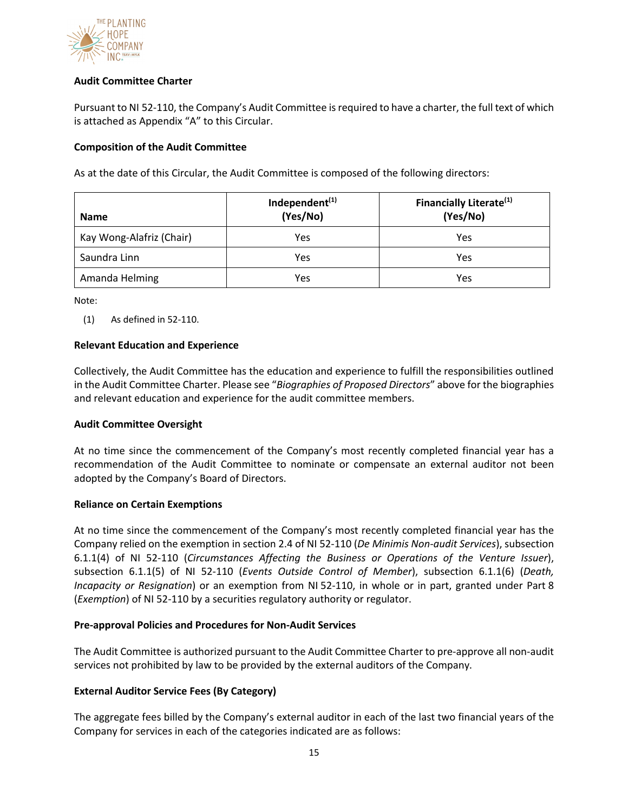

## **Audit Committee Charter**

Pursuant to NI 52-110, the Company's Audit Committee is required to have a charter, the full text of which is attached as Appendix "A" to this Circular.

## **Composition of the Audit Committee**

As at the date of this Circular, the Audit Committee is composed of the following directors:

| <b>Name</b>              | Independent <sup>(1)</sup><br>(Yes/No) | Financially Literate <sup>(1)</sup><br>(Yes/No) |
|--------------------------|----------------------------------------|-------------------------------------------------|
| Kay Wong-Alafriz (Chair) | Yes                                    | Yes                                             |
| Saundra Linn             | Yes                                    | Yes                                             |
| Amanda Helming           | Yes                                    | Yes                                             |

Note:

(1) As defined in 52-110.

### **Relevant Education and Experience**

Collectively, the Audit Committee has the education and experience to fulfill the responsibilities outlined in the Audit Committee Charter. Please see "*Biographies of Proposed Directors*" above for the biographies and relevant education and experience for the audit committee members.

### **Audit Committee Oversight**

At no time since the commencement of the Company's most recently completed financial year has a recommendation of the Audit Committee to nominate or compensate an external auditor not been adopted by the Company's Board of Directors.

### **Reliance on Certain Exemptions**

At no time since the commencement of the Company's most recently completed financial year has the Company relied on the exemption in section 2.4 of NI 52-110 (*De Minimis Non-audit Services*), subsection 6.1.1(4) of NI 52-110 (*Circumstances Affecting the Business or Operations of the Venture Issuer*), subsection 6.1.1(5) of NI 52-110 (*Events Outside Control of Member*), subsection 6.1.1(6) (*Death, Incapacity or Resignation*) or an exemption from NI 52-110, in whole or in part, granted under Part 8 (*Exemption*) of NI 52-110 by a securities regulatory authority or regulator.

### **Pre-approval Policies and Procedures for Non-Audit Services**

The Audit Committee is authorized pursuant to the Audit Committee Charter to pre-approve all non-audit services not prohibited by law to be provided by the external auditors of the Company.

### **External Auditor Service Fees (By Category)**

The aggregate fees billed by the Company's external auditor in each of the last two financial years of the Company for services in each of the categories indicated are as follows: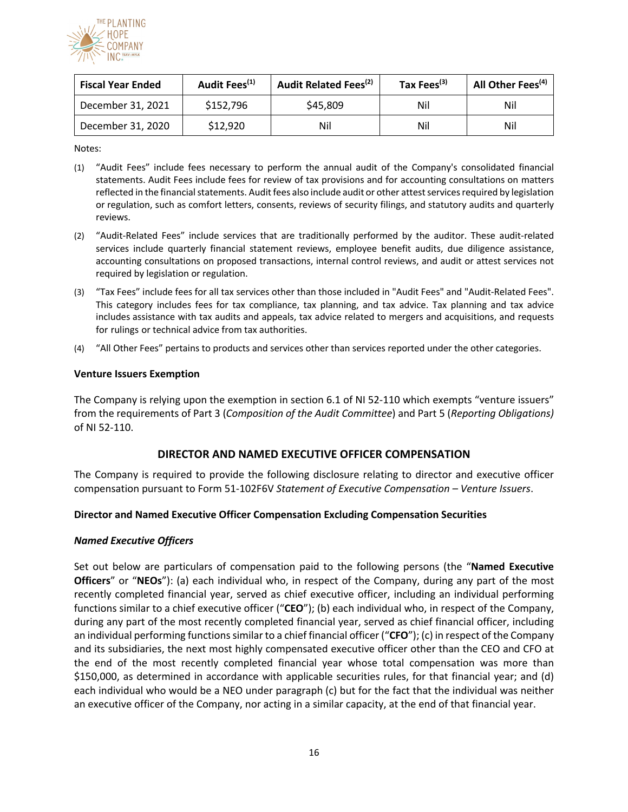

| <b>Fiscal Year Ended</b> | Audit Fees <sup>(1)</sup> | Audit Related Fees <sup>(2)</sup> | Tax Fees <sup>(3)</sup> | All Other Fees <sup>(4)</sup> |
|--------------------------|---------------------------|-----------------------------------|-------------------------|-------------------------------|
| December 31, 2021        | \$152,796                 | \$45,809                          | Nil                     | Nil                           |
| December 31, 2020        | \$12,920                  | Nil                               | Nil                     | Nil                           |

Notes:

- (1) "Audit Fees" include fees necessary to perform the annual audit of the Company's consolidated financial statements. Audit Fees include fees for review of tax provisions and for accounting consultations on matters reflected in the financial statements. Audit fees also include audit or other attest services required by legislation or regulation, such as comfort letters, consents, reviews of security filings, and statutory audits and quarterly reviews.
- (2) "Audit-Related Fees" include services that are traditionally performed by the auditor. These audit-related services include quarterly financial statement reviews, employee benefit audits, due diligence assistance, accounting consultations on proposed transactions, internal control reviews, and audit or attest services not required by legislation or regulation.
- (3) "Tax Fees" include fees for all tax services other than those included in "Audit Fees" and "Audit-Related Fees". This category includes fees for tax compliance, tax planning, and tax advice. Tax planning and tax advice includes assistance with tax audits and appeals, tax advice related to mergers and acquisitions, and requests for rulings or technical advice from tax authorities.
- (4) "All Other Fees" pertains to products and services other than services reported under the other categories.

### **Venture Issuers Exemption**

The Company is relying upon the exemption in section 6.1 of NI 52-110 which exempts "venture issuers" from the requirements of Part 3 (*Composition of the Audit Committee*) and Part 5 (*Reporting Obligations)* of NI 52-110.

### **DIRECTOR AND NAMED EXECUTIVE OFFICER COMPENSATION**

The Company is required to provide the following disclosure relating to director and executive officer compensation pursuant to Form 51-102F6V *Statement of Executive Compensation – Venture Issuers*.

### **Director and Named Executive Officer Compensation Excluding Compensation Securities**

### *Named Executive Officers*

Set out below are particulars of compensation paid to the following persons (the "**Named Executive Officers**" or "**NEOs**"): (a) each individual who, in respect of the Company, during any part of the most recently completed financial year, served as chief executive officer, including an individual performing functions similar to a chief executive officer ("**CEO**"); (b) each individual who, in respect of the Company, during any part of the most recently completed financial year, served as chief financial officer, including an individual performing functions similar to a chief financial officer ("**CFO**"); (c) in respect of the Company and its subsidiaries, the next most highly compensated executive officer other than the CEO and CFO at the end of the most recently completed financial year whose total compensation was more than \$150,000, as determined in accordance with applicable securities rules, for that financial year; and (d) each individual who would be a NEO under paragraph (c) but for the fact that the individual was neither an executive officer of the Company, nor acting in a similar capacity, at the end of that financial year.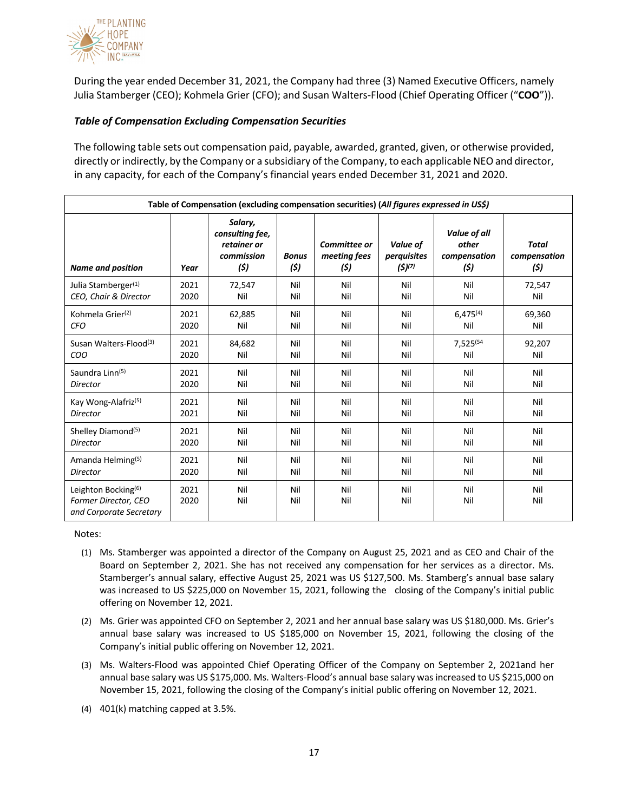

During the year ended December 31, 2021, the Company had three (3) Named Executive Officers, namely Julia Stamberger (CEO); Kohmela Grier (CFO); and Susan Walters-Flood (Chief Operating Officer ("**COO**")).

## *Table of Compensation Excluding Compensation Securities*

The following table sets out compensation paid, payable, awarded, granted, given, or otherwise provided, directly or indirectly, by the Company or a subsidiary of the Company, to each applicable NEO and director, in any capacity, for each of the Company's financial years ended December 31, 2021 and 2020.

| Table of Compensation (excluding compensation securities) (All figures expressed in US\$) |              |                                                                |                      |                                      |                                        |                                               |                                      |
|-------------------------------------------------------------------------------------------|--------------|----------------------------------------------------------------|----------------------|--------------------------------------|----------------------------------------|-----------------------------------------------|--------------------------------------|
| <b>Name and position</b>                                                                  | Year         | Salary,<br>consulting fee,<br>retainer or<br>commission<br>(5) | <b>Bonus</b><br>(\$) | Committee or<br>meeting fees<br>(\$) | Value of<br>perquisites<br>$(5)^{(7)}$ | Value of all<br>other<br>compensation<br>(\$) | <b>Total</b><br>compensation<br>(\$) |
| Julia Stamberger <sup>(1)</sup>                                                           | 2021         | 72,547                                                         | Nil                  | Nil                                  | Nil                                    | Nil                                           | 72,547                               |
| CEO, Chair & Director                                                                     | 2020         | Nil                                                            | Nil                  | Nil                                  | Nil                                    | Nil                                           | Nil                                  |
| Kohmela Grier <sup>(2)</sup>                                                              | 2021         | 62,885                                                         | Nil                  | Nil                                  | Nil                                    | $6.475^{(4)}$                                 | 69,360                               |
| <b>CFO</b>                                                                                | 2020         | Nil                                                            | Nil                  | Nil                                  | Nil                                    | Nil                                           | Nil                                  |
| Susan Walters-Flood <sup>(3)</sup>                                                        | 2021         | 84,682                                                         | Nil                  | Nil                                  | Nil                                    | 7,525(54                                      | 92,207                               |
| COO                                                                                       | 2020         | Nil                                                            | Nil                  | Nil                                  | Nil                                    | Nil                                           | Nil                                  |
| Saundra Linn <sup>(5)</sup>                                                               | 2021         | Nil                                                            | Nil                  | Nil                                  | Nil                                    | Nil                                           | Nil                                  |
| Director                                                                                  | 2020         | Nil                                                            | Nil                  | Nil                                  | Nil                                    | Nil                                           | Nil                                  |
| Kay Wong-Alafriz <sup>(5)</sup>                                                           | 2021         | Nil                                                            | Nil                  | Nil                                  | Nil                                    | Nil                                           | Nil                                  |
| Director                                                                                  | 2021         | Nil                                                            | Nil                  | Nil                                  | Nil                                    | Nil                                           | Nil                                  |
| Shelley Diamond <sup>(5)</sup>                                                            | 2021         | Nil                                                            | Nil                  | Nil                                  | Nil                                    | Nil                                           | Nil                                  |
| <b>Director</b>                                                                           | 2020         | Nil                                                            | Nil                  | Nil                                  | Nil                                    | Nil                                           | Nil                                  |
| Amanda Helming <sup>(5)</sup>                                                             | 2021         | Nil                                                            | Nil                  | Nil                                  | Nil                                    | Nil                                           | Nil                                  |
| <b>Director</b>                                                                           | 2020         | Nil                                                            | Nil                  | Nil                                  | Nil                                    | Nil                                           | Nil                                  |
| Leighton Bocking <sup>(6)</sup><br>Former Director, CEO<br>and Corporate Secretary        | 2021<br>2020 | Nil<br>Nil                                                     | Nil<br>Nil           | Nil<br>Nil                           | Nil<br>Nil                             | Nil<br>Nil                                    | Nil<br>Nil                           |

Notes:

- (1) Ms. Stamberger was appointed a director of the Company on August 25, 2021 and as CEO and Chair of the Board on September 2, 2021. She has not received any compensation for her services as a director. Ms. Stamberger's annual salary, effective August 25, 2021 was US \$127,500. Ms. Stamberg's annual base salary was increased to US \$225,000 on November 15, 2021, following the closing of the Company's initial public offering on November 12, 2021.
- (2) Ms. Grier was appointed CFO on September 2, 2021 and her annual base salary was US \$180,000. Ms. Grier's annual base salary was increased to US \$185,000 on November 15, 2021, following the closing of the Company's initial public offering on November 12, 2021.
- (3) Ms. Walters-Flood was appointed Chief Operating Officer of the Company on September 2, 2021and her annual base salary was US \$175,000. Ms. Walters-Flood's annual base salary was increased to US \$215,000 on November 15, 2021, following the closing of the Company's initial public offering on November 12, 2021.
- (4) 401(k) matching capped at 3.5%.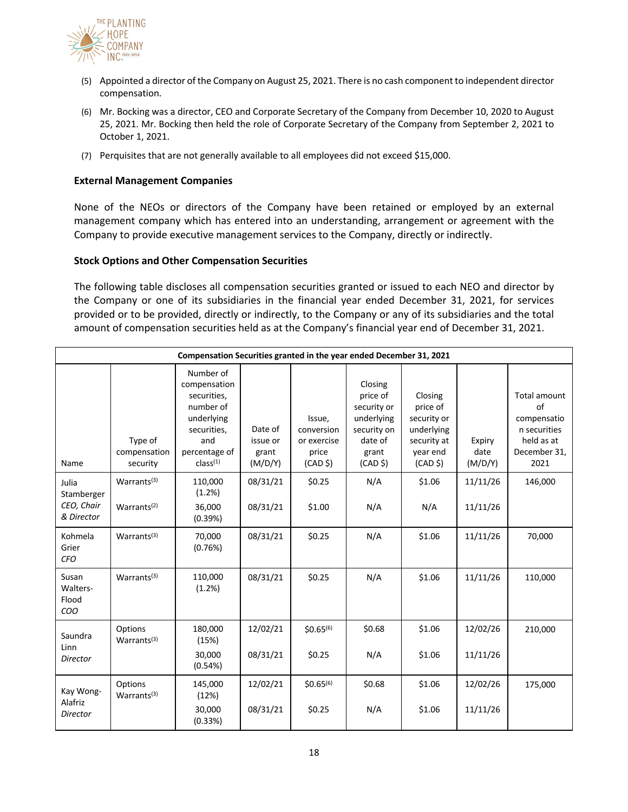

- (5) Appointed a director of the Company on August 25, 2021. There is no cash component to independent director compensation.
- (6) Mr. Bocking was a director, CEO and Corporate Secretary of the Company from December 10, 2020 to August 25, 2021. Mr. Bocking then held the role of Corporate Secretary of the Company from September 2, 2021 to October 1, 2021.
- (7) Perquisites that are not generally available to all employees did not exceed \$15,000.

### **External Management Companies**

None of the NEOs or directors of the Company have been retained or employed by an external management company which has entered into an understanding, arrangement or agreement with the Company to provide executive management services to the Company, directly or indirectly.

#### **Stock Options and Other Compensation Securities**

The following table discloses all compensation securities granted or issued to each NEO and director by the Company or one of its subsidiaries in the financial year ended December 31, 2021, for services provided or to be provided, directly or indirectly, to the Company or any of its subsidiaries and the total amount of compensation securities held as at the Company's financial year end of December 31, 2021.

| Compensation Securities granted in the year ended December 31, 2021 |                                                    |                                                                                                                                    |                                         |                                                                     |                                                                                                            |                                                                                                    |                           |                                                                                         |
|---------------------------------------------------------------------|----------------------------------------------------|------------------------------------------------------------------------------------------------------------------------------------|-----------------------------------------|---------------------------------------------------------------------|------------------------------------------------------------------------------------------------------------|----------------------------------------------------------------------------------------------------|---------------------------|-----------------------------------------------------------------------------------------|
| Name                                                                | Type of<br>compensation<br>security                | Number of<br>compensation<br>securities,<br>number of<br>underlying<br>securities,<br>and<br>percentage of<br>class <sup>(1)</sup> | Date of<br>issue or<br>grant<br>(M/D/Y) | Issue,<br>conversion<br>or exercise<br>price<br>(CAD <sub>5</sub> ) | Closing<br>price of<br>security or<br>underlying<br>security on<br>date of<br>grant<br>(CAD <sup>5</sup> ) | Closing<br>price of<br>security or<br>underlying<br>security at<br>year end<br>(CAD <sub>5</sub> ) | Expiry<br>date<br>(M/D/Y) | Total amount<br>of<br>compensatio<br>n securities<br>held as at<br>December 31,<br>2021 |
| Julia<br>Stamberger<br>CEO, Chair<br>& Director                     | Warrants <sup>(3)</sup><br>Warrants <sup>(2)</sup> | 110,000<br>(1.2%)<br>36,000<br>(0.39%)                                                                                             | 08/31/21<br>08/31/21                    | \$0.25<br>\$1.00                                                    | N/A<br>N/A                                                                                                 | \$1.06<br>N/A                                                                                      | 11/11/26<br>11/11/26      | 146,000                                                                                 |
| Kohmela<br>Grier<br><b>CFO</b>                                      | Warrants $(3)$                                     | 70,000<br>(0.76%)                                                                                                                  | 08/31/21                                | \$0.25                                                              | N/A                                                                                                        | \$1.06                                                                                             | 11/11/26                  | 70,000                                                                                  |
| Susan<br>Walters-<br>Flood<br>COO                                   | Warrants <sup>(3)</sup>                            | 110,000<br>(1.2%)                                                                                                                  | 08/31/21                                | \$0.25                                                              | N/A                                                                                                        | \$1.06                                                                                             | 11/11/26                  | 110,000                                                                                 |
| Saundra<br>Linn<br>Director                                         | Options<br>Warrants <sup>(3)</sup>                 | 180,000<br>(15%)<br>30,000<br>(0.54%)                                                                                              | 12/02/21<br>08/31/21                    | $$0.65^{(6)}$$<br>\$0.25                                            | \$0.68<br>N/A                                                                                              | \$1.06<br>\$1.06                                                                                   | 12/02/26<br>11/11/26      | 210,000                                                                                 |
| Kay Wong-<br>Alafriz<br>Director                                    | Options<br>Warrants <sup>(3)</sup>                 | 145,000<br>(12%)<br>30,000<br>(0.33%)                                                                                              | 12/02/21<br>08/31/21                    | $$0.65^{(6)}$$<br>\$0.25                                            | \$0.68<br>N/A                                                                                              | \$1.06<br>\$1.06                                                                                   | 12/02/26<br>11/11/26      | 175,000                                                                                 |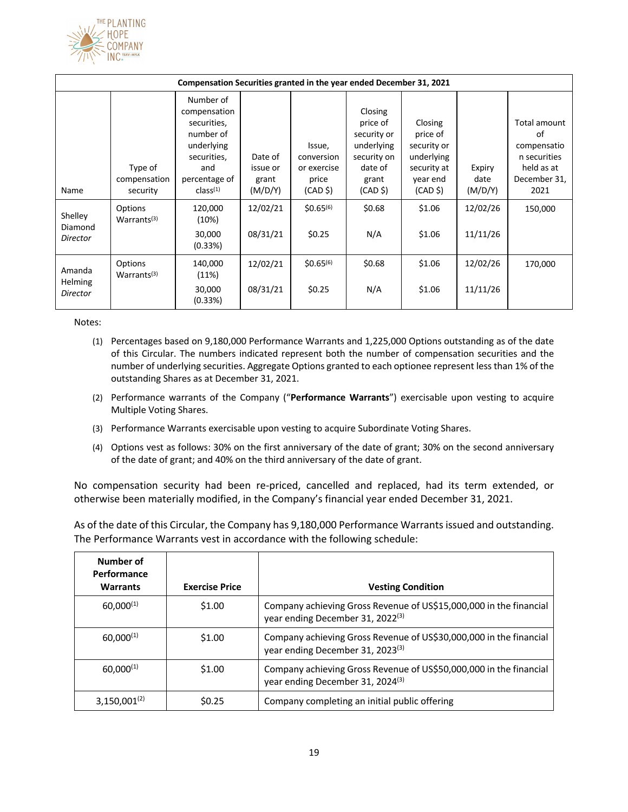

| Compensation Securities granted in the year ended December 31, 2021 |                                     |                                                                                                                                    |                                         |                                                                     |                                                                                                            |                                                                                                    |                           |                                                                                         |
|---------------------------------------------------------------------|-------------------------------------|------------------------------------------------------------------------------------------------------------------------------------|-----------------------------------------|---------------------------------------------------------------------|------------------------------------------------------------------------------------------------------------|----------------------------------------------------------------------------------------------------|---------------------------|-----------------------------------------------------------------------------------------|
| Name                                                                | Type of<br>compensation<br>security | Number of<br>compensation<br>securities,<br>number of<br>underlying<br>securities,<br>and<br>percentage of<br>class <sup>(1)</sup> | Date of<br>issue or<br>grant<br>(M/D/Y) | Issue,<br>conversion<br>or exercise<br>price<br>(CAD <sub>5</sub> ) | Closing<br>price of<br>security or<br>underlying<br>security on<br>date of<br>grant<br>(CAD <sub>5</sub> ) | Closing<br>price of<br>security or<br>underlying<br>security at<br>year end<br>(CAD <sub>5</sub> ) | Expiry<br>date<br>(M/D/Y) | Total amount<br>of<br>compensatio<br>n securities<br>held as at<br>December 31,<br>2021 |
| Shelley<br>Diamond<br><b>Director</b>                               | Options<br>Warrants <sup>(3)</sup>  | 120,000<br>(10%)<br>30,000<br>(0.33%)                                                                                              | 12/02/21<br>08/31/21                    | $$0.65^{(6)}$$<br>\$0.25                                            | \$0.68<br>N/A                                                                                              | \$1.06<br>\$1.06                                                                                   | 12/02/26<br>11/11/26      | 150,000                                                                                 |
| Amanda<br><b>Helming</b><br>Director                                | Options<br>Warrants <sup>(3)</sup>  | 140,000<br>(11%)<br>30,000<br>(0.33%)                                                                                              | 12/02/21<br>08/31/21                    | $$0.65^{(6)}$$<br>\$0.25                                            | \$0.68<br>N/A                                                                                              | \$1.06<br>\$1.06                                                                                   | 12/02/26<br>11/11/26      | 170,000                                                                                 |

Notes:

- (1) Percentages based on 9,180,000 Performance Warrants and 1,225,000 Options outstanding as of the date of this Circular. The numbers indicated represent both the number of compensation securities and the number of underlying securities. Aggregate Options granted to each optionee represent less than 1% of the outstanding Shares as at December 31, 2021.
- (2) Performance warrants of the Company ("**Performance Warrants**") exercisable upon vesting to acquire Multiple Voting Shares.
- (3) Performance Warrants exercisable upon vesting to acquire Subordinate Voting Shares.
- (4) Options vest as follows: 30% on the first anniversary of the date of grant; 30% on the second anniversary of the date of grant; and 40% on the third anniversary of the date of grant.

No compensation security had been re-priced, cancelled and replaced, had its term extended, or otherwise been materially modified, in the Company's financial year ended December 31, 2021.

As of the date of this Circular, the Company has 9,180,000 Performance Warrants issued and outstanding. The Performance Warrants vest in accordance with the following schedule:

| Number of<br>Performance<br><b>Warrants</b> | <b>Exercise Price</b> | <b>Vesting Condition</b>                                                                                           |
|---------------------------------------------|-----------------------|--------------------------------------------------------------------------------------------------------------------|
|                                             |                       |                                                                                                                    |
| $60,000^{(1)}$                              | \$1.00                | Company achieving Gross Revenue of US\$15,000,000 in the financial<br>year ending December 31, 2022(3)             |
| $60,000^{(1)}$                              | \$1.00                | Company achieving Gross Revenue of US\$30,000,000 in the financial<br>year ending December 31, 2023 <sup>(3)</sup> |
| $60,000^{(1)}$                              | \$1.00                | Company achieving Gross Revenue of US\$50,000,000 in the financial<br>year ending December 31, 2024 <sup>(3)</sup> |
| $3,150,001^{(2)}$                           | S <sub>0.25</sub>     | Company completing an initial public offering                                                                      |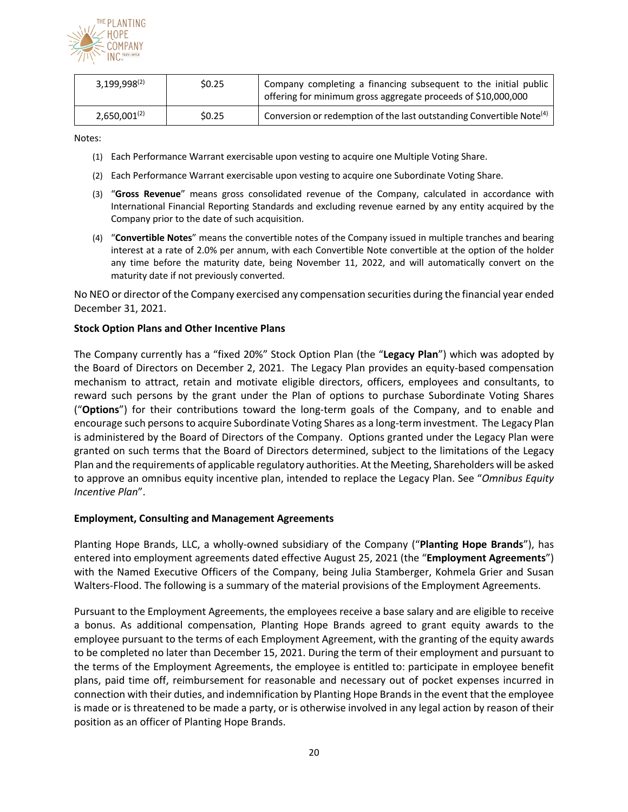

| $3,199,998^{(2)}$ | \$0.25 | Company completing a financing subsequent to the initial public<br>offering for minimum gross aggregate proceeds of \$10,000,000 |
|-------------------|--------|----------------------------------------------------------------------------------------------------------------------------------|
| $2,650,001^{(2)}$ | \$0.25 | Conversion or redemption of the last outstanding Convertible Note <sup>(4)</sup>                                                 |

Notes:

- (1) Each Performance Warrant exercisable upon vesting to acquire one Multiple Voting Share.
- (2) Each Performance Warrant exercisable upon vesting to acquire one Subordinate Voting Share.
- (3) "**Gross Revenue**" means gross consolidated revenue of the Company, calculated in accordance with International Financial Reporting Standards and excluding revenue earned by any entity acquired by the Company prior to the date of such acquisition.
- (4) "**Convertible Notes**" means the convertible notes of the Company issued in multiple tranches and bearing interest at a rate of 2.0% per annum, with each Convertible Note convertible at the option of the holder any time before the maturity date, being November 11, 2022, and will automatically convert on the maturity date if not previously converted.

No NEO or director of the Company exercised any compensation securities during the financial year ended December 31, 2021.

#### **Stock Option Plans and Other Incentive Plans**

The Company currently has a "fixed 20%" Stock Option Plan (the "**Legacy Plan**") which was adopted by the Board of Directors on December 2, 2021. The Legacy Plan provides an equity-based compensation mechanism to attract, retain and motivate eligible directors, officers, employees and consultants, to reward such persons by the grant under the Plan of options to purchase Subordinate Voting Shares ("**Options**") for their contributions toward the long-term goals of the Company, and to enable and encourage such persons to acquire Subordinate Voting Shares as a long-term investment. The Legacy Plan is administered by the Board of Directors of the Company. Options granted under the Legacy Plan were granted on such terms that the Board of Directors determined, subject to the limitations of the Legacy Plan and the requirements of applicable regulatory authorities. At the Meeting, Shareholders will be asked to approve an omnibus equity incentive plan, intended to replace the Legacy Plan. See "*Omnibus Equity Incentive Plan*".

#### **Employment, Consulting and Management Agreements**

Planting Hope Brands, LLC, a wholly-owned subsidiary of the Company ("**Planting Hope Brands**"), has entered into employment agreements dated effective August 25, 2021 (the "**Employment Agreements**") with the Named Executive Officers of the Company, being Julia Stamberger, Kohmela Grier and Susan Walters-Flood. The following is a summary of the material provisions of the Employment Agreements.

Pursuant to the Employment Agreements, the employees receive a base salary and are eligible to receive a bonus. As additional compensation, Planting Hope Brands agreed to grant equity awards to the employee pursuant to the terms of each Employment Agreement, with the granting of the equity awards to be completed no later than December 15, 2021. During the term of their employment and pursuant to the terms of the Employment Agreements, the employee is entitled to: participate in employee benefit plans, paid time off, reimbursement for reasonable and necessary out of pocket expenses incurred in connection with their duties, and indemnification by Planting Hope Brands in the event that the employee is made or is threatened to be made a party, or is otherwise involved in any legal action by reason of their position as an officer of Planting Hope Brands.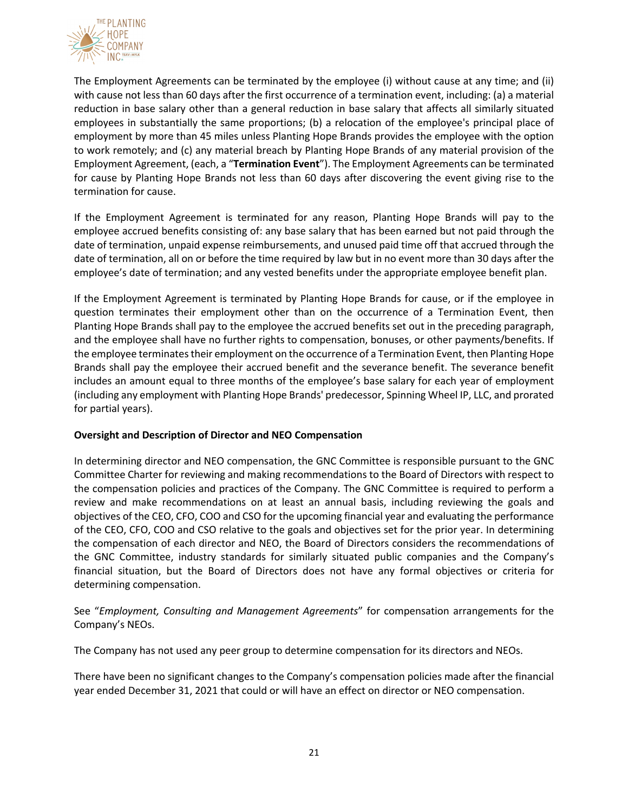

The Employment Agreements can be terminated by the employee (i) without cause at any time; and (ii) with cause not less than 60 days after the first occurrence of a termination event, including: (a) a material reduction in base salary other than a general reduction in base salary that affects all similarly situated employees in substantially the same proportions; (b) a relocation of the employee's principal place of employment by more than 45 miles unless Planting Hope Brands provides the employee with the option to work remotely; and (c) any material breach by Planting Hope Brands of any material provision of the Employment Agreement, (each, a "**Termination Event**"). The Employment Agreements can be terminated for cause by Planting Hope Brands not less than 60 days after discovering the event giving rise to the termination for cause.

If the Employment Agreement is terminated for any reason, Planting Hope Brands will pay to the employee accrued benefits consisting of: any base salary that has been earned but not paid through the date of termination, unpaid expense reimbursements, and unused paid time off that accrued through the date of termination, all on or before the time required by law but in no event more than 30 days after the employee's date of termination; and any vested benefits under the appropriate employee benefit plan.

If the Employment Agreement is terminated by Planting Hope Brands for cause, or if the employee in question terminates their employment other than on the occurrence of a Termination Event, then Planting Hope Brands shall pay to the employee the accrued benefits set out in the preceding paragraph, and the employee shall have no further rights to compensation, bonuses, or other payments/benefits. If the employee terminates their employment on the occurrence of a Termination Event, then Planting Hope Brands shall pay the employee their accrued benefit and the severance benefit. The severance benefit includes an amount equal to three months of the employee's base salary for each year of employment (including any employment with Planting Hope Brands' predecessor, Spinning Wheel IP, LLC, and prorated for partial years).

### **Oversight and Description of Director and NEO Compensation**

In determining director and NEO compensation, the GNC Committee is responsible pursuant to the GNC Committee Charter for reviewing and making recommendations to the Board of Directors with respect to the compensation policies and practices of the Company. The GNC Committee is required to perform a review and make recommendations on at least an annual basis, including reviewing the goals and objectives of the CEO, CFO, COO and CSO for the upcoming financial year and evaluating the performance of the CEO, CFO, COO and CSO relative to the goals and objectives set for the prior year. In determining the compensation of each director and NEO, the Board of Directors considers the recommendations of the GNC Committee, industry standards for similarly situated public companies and the Company's financial situation, but the Board of Directors does not have any formal objectives or criteria for determining compensation.

See "*Employment, Consulting and Management Agreements*" for compensation arrangements for the Company's NEOs.

The Company has not used any peer group to determine compensation for its directors and NEOs.

There have been no significant changes to the Company's compensation policies made after the financial year ended December 31, 2021 that could or will have an effect on director or NEO compensation.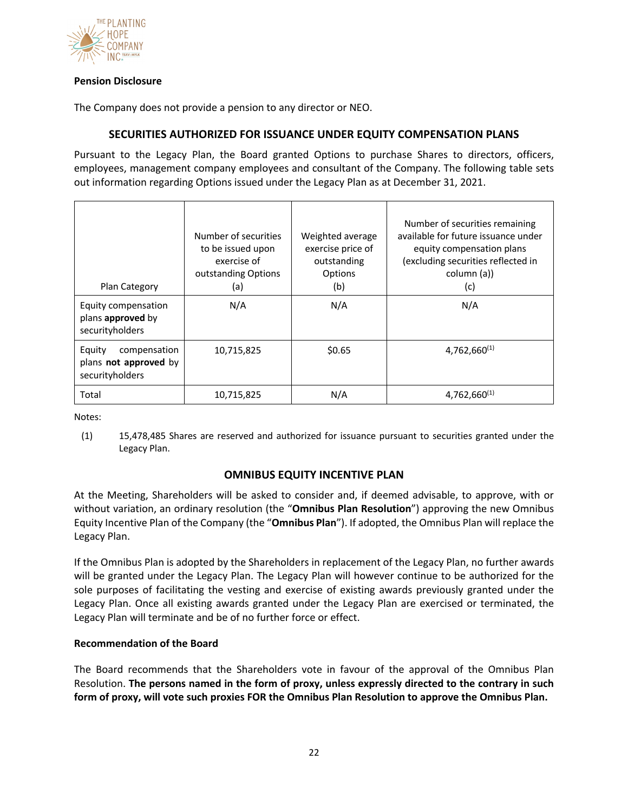

## **Pension Disclosure**

The Company does not provide a pension to any director or NEO.

# **SECURITIES AUTHORIZED FOR ISSUANCE UNDER EQUITY COMPENSATION PLANS**

Pursuant to the Legacy Plan, the Board granted Options to purchase Shares to directors, officers, employees, management company employees and consultant of the Company. The following table sets out information regarding Options issued under the Legacy Plan as at December 31, 2021.

| Plan Category                                                             | Number of securities<br>to be issued upon<br>exercise of<br>outstanding Options<br>(a) | Weighted average<br>exercise price of<br>outstanding<br>Options<br>(b) | Number of securities remaining<br>available for future issuance under<br>equity compensation plans<br>(excluding securities reflected in<br>column (a))<br>(c) |
|---------------------------------------------------------------------------|----------------------------------------------------------------------------------------|------------------------------------------------------------------------|----------------------------------------------------------------------------------------------------------------------------------------------------------------|
| Equity compensation<br>plans approved by<br>securityholders               | N/A                                                                                    | N/A                                                                    | N/A                                                                                                                                                            |
| compensation<br>Equity<br>plans <b>not approved</b> by<br>securityholders | 10,715,825                                                                             | \$0.65                                                                 | $4,762,660^{(1)}$                                                                                                                                              |
| Total                                                                     | 10,715,825                                                                             | N/A                                                                    | $4,762,660^{(1)}$                                                                                                                                              |

Notes:

(1) 15,478,485 Shares are reserved and authorized for issuance pursuant to securities granted under the Legacy Plan.

# **OMNIBUS EQUITY INCENTIVE PLAN**

At the Meeting, Shareholders will be asked to consider and, if deemed advisable, to approve, with or without variation, an ordinary resolution (the "**Omnibus Plan Resolution**") approving the new Omnibus Equity Incentive Plan of the Company (the "**Omnibus Plan**"). If adopted, the Omnibus Plan will replace the Legacy Plan.

If the Omnibus Plan is adopted by the Shareholders in replacement of the Legacy Plan, no further awards will be granted under the Legacy Plan. The Legacy Plan will however continue to be authorized for the sole purposes of facilitating the vesting and exercise of existing awards previously granted under the Legacy Plan. Once all existing awards granted under the Legacy Plan are exercised or terminated, the Legacy Plan will terminate and be of no further force or effect.

### **Recommendation of the Board**

The Board recommends that the Shareholders vote in favour of the approval of the Omnibus Plan Resolution. **The persons named in the form of proxy, unless expressly directed to the contrary in such form of proxy, will vote such proxies FOR the Omnibus Plan Resolution to approve the Omnibus Plan.**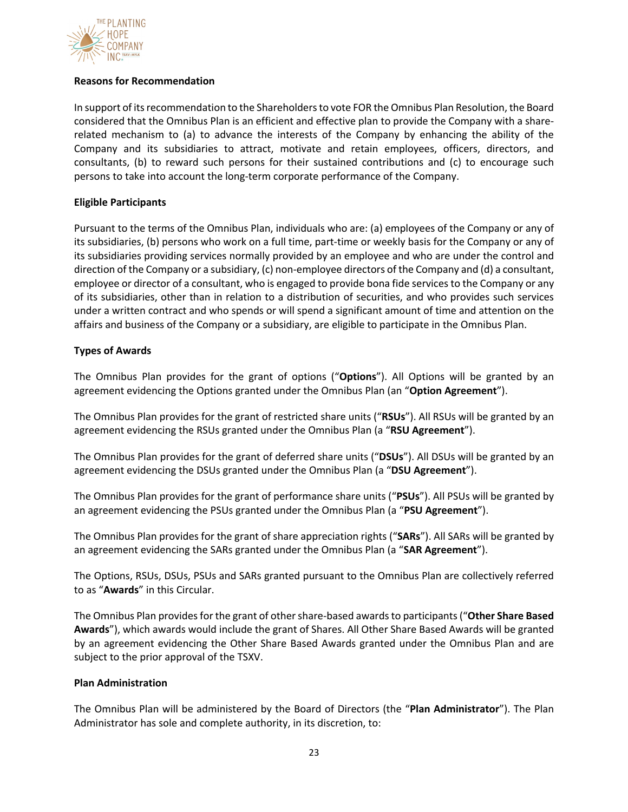

## **Reasons for Recommendation**

In support of its recommendation to the Shareholders to vote FOR the Omnibus Plan Resolution, the Board considered that the Omnibus Plan is an efficient and effective plan to provide the Company with a sharerelated mechanism to (a) to advance the interests of the Company by enhancing the ability of the Company and its subsidiaries to attract, motivate and retain employees, officers, directors, and consultants, (b) to reward such persons for their sustained contributions and (c) to encourage such persons to take into account the long-term corporate performance of the Company.

## **Eligible Participants**

Pursuant to the terms of the Omnibus Plan, individuals who are: (a) employees of the Company or any of its subsidiaries, (b) persons who work on a full time, part-time or weekly basis for the Company or any of its subsidiaries providing services normally provided by an employee and who are under the control and direction of the Company or a subsidiary, (c) non-employee directors of the Company and (d) a consultant, employee or director of a consultant, who is engaged to provide bona fide services to the Company or any of its subsidiaries, other than in relation to a distribution of securities, and who provides such services under a written contract and who spends or will spend a significant amount of time and attention on the affairs and business of the Company or a subsidiary, are eligible to participate in the Omnibus Plan.

## **Types of Awards**

The Omnibus Plan provides for the grant of options ("**Options**"). All Options will be granted by an agreement evidencing the Options granted under the Omnibus Plan (an "**Option Agreement**").

The Omnibus Plan provides for the grant of restricted share units ("**RSUs**"). All RSUs will be granted by an agreement evidencing the RSUs granted under the Omnibus Plan (a "**RSU Agreement**").

The Omnibus Plan provides for the grant of deferred share units ("**DSUs**"). All DSUs will be granted by an agreement evidencing the DSUs granted under the Omnibus Plan (a "**DSU Agreement**").

The Omnibus Plan provides for the grant of performance share units ("**PSUs**"). All PSUs will be granted by an agreement evidencing the PSUs granted under the Omnibus Plan (a "**PSU Agreement**").

The Omnibus Plan provides for the grant of share appreciation rights ("**SARs**"). All SARs will be granted by an agreement evidencing the SARs granted under the Omnibus Plan (a "**SAR Agreement**").

The Options, RSUs, DSUs, PSUs and SARs granted pursuant to the Omnibus Plan are collectively referred to as "**Awards**" in this Circular.

The Omnibus Plan provides for the grant of other share-based awards to participants ("**Other Share Based Awards**"), which awards would include the grant of Shares. All Other Share Based Awards will be granted by an agreement evidencing the Other Share Based Awards granted under the Omnibus Plan and are subject to the prior approval of the TSXV.

### **Plan Administration**

The Omnibus Plan will be administered by the Board of Directors (the "**Plan Administrator**"). The Plan Administrator has sole and complete authority, in its discretion, to: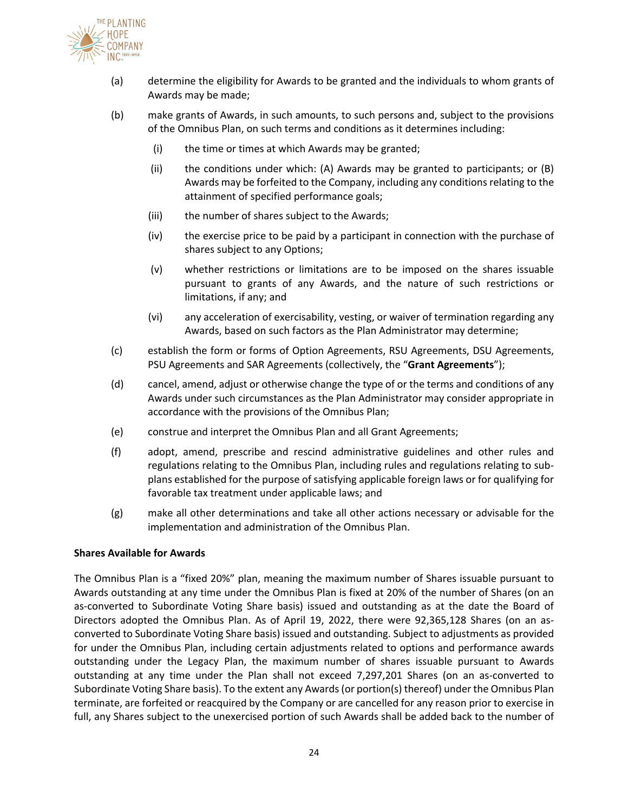

- (a) determine the eligibility for Awards to be granted and the individuals to whom grants of Awards may be made;
- (b) make grants of Awards, in such amounts, to such persons and, subject to the provisions of the Omnibus Plan, on such terms and conditions as it determines including:
	- (i) the time or times at which Awards may be granted;
	- (ii) the conditions under which: (A) Awards may be granted to participants; or (B) Awards may be forfeited to the Company, including any conditions relating to the attainment of specified performance goals;
	- (iii) the number of shares subject to the Awards;
	- (iv) the exercise price to be paid by a participant in connection with the purchase of shares subject to any Options;
	- (v) whether restrictions or limitations are to be imposed on the shares issuable pursuant to grants of any Awards, and the nature of such restrictions or limitations, if any; and
	- (vi) any acceleration of exercisability, vesting, or waiver of termination regarding any Awards, based on such factors as the Plan Administrator may determine;
- (c) establish the form or forms of Option Agreements, RSU Agreements, DSU Agreements, PSU Agreements and SAR Agreements (collectively, the "**Grant Agreements**");
- (d) cancel, amend, adjust or otherwise change the type of or the terms and conditions of any Awards under such circumstances as the Plan Administrator may consider appropriate in accordance with the provisions of the Omnibus Plan;
- (e) construe and interpret the Omnibus Plan and all Grant Agreements;
- (f) adopt, amend, prescribe and rescind administrative guidelines and other rules and regulations relating to the Omnibus Plan, including rules and regulations relating to subplans established for the purpose of satisfying applicable foreign laws or for qualifying for favorable tax treatment under applicable laws; and
- (g) make all other determinations and take all other actions necessary or advisable for the implementation and administration of the Omnibus Plan.

### **Shares Available for Awards**

The Omnibus Plan is a "fixed 20%" plan, meaning the maximum number of Shares issuable pursuant to Awards outstanding at any time under the Omnibus Plan is fixed at 20% of the number of Shares (on an as-converted to Subordinate Voting Share basis) issued and outstanding as at the date the Board of Directors adopted the Omnibus Plan. As of April 19, 2022, there were 92,365,128 Shares (on an asconverted to Subordinate Voting Share basis) issued and outstanding. Subject to adjustments as provided for under the Omnibus Plan, including certain adjustments related to options and performance awards outstanding under the Legacy Plan, the maximum number of shares issuable pursuant to Awards outstanding at any time under the Plan shall not exceed 7,297,201 Shares (on an as-converted to Subordinate Voting Share basis). To the extent any Awards (or portion(s) thereof) under the Omnibus Plan terminate, are forfeited or reacquired by the Company or are cancelled for any reason prior to exercise in full, any Shares subject to the unexercised portion of such Awards shall be added back to the number of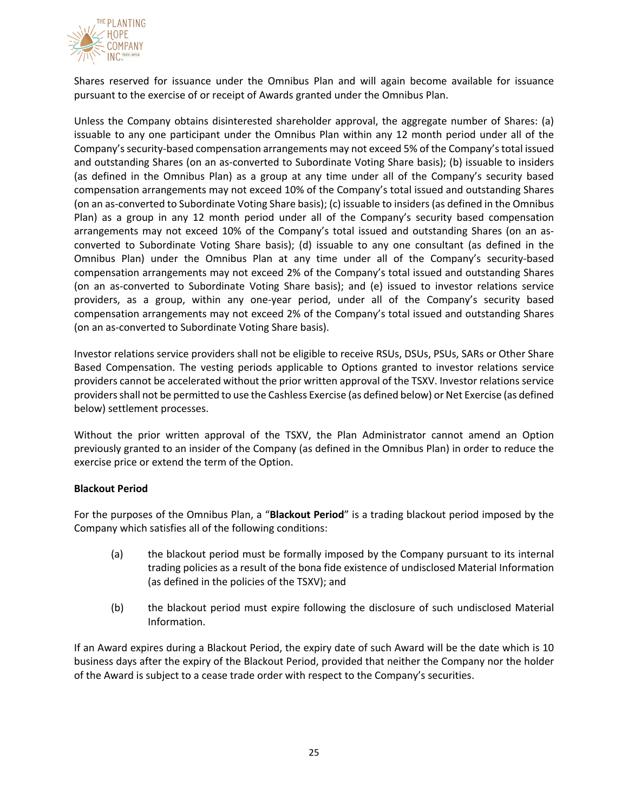

Shares reserved for issuance under the Omnibus Plan and will again become available for issuance pursuant to the exercise of or receipt of Awards granted under the Omnibus Plan.

Unless the Company obtains disinterested shareholder approval, the aggregate number of Shares: (a) issuable to any one participant under the Omnibus Plan within any 12 month period under all of the Company's security-based compensation arrangements may not exceed 5% of the Company's total issued and outstanding Shares (on an as-converted to Subordinate Voting Share basis); (b) issuable to insiders (as defined in the Omnibus Plan) as a group at any time under all of the Company's security based compensation arrangements may not exceed 10% of the Company's total issued and outstanding Shares (on an as-converted to Subordinate Voting Share basis); (c) issuable to insiders (as defined in the Omnibus Plan) as a group in any 12 month period under all of the Company's security based compensation arrangements may not exceed 10% of the Company's total issued and outstanding Shares (on an asconverted to Subordinate Voting Share basis); (d) issuable to any one consultant (as defined in the Omnibus Plan) under the Omnibus Plan at any time under all of the Company's security-based compensation arrangements may not exceed 2% of the Company's total issued and outstanding Shares (on an as-converted to Subordinate Voting Share basis); and (e) issued to investor relations service providers, as a group, within any one-year period, under all of the Company's security based compensation arrangements may not exceed 2% of the Company's total issued and outstanding Shares (on an as-converted to Subordinate Voting Share basis).

Investor relations service providers shall not be eligible to receive RSUs, DSUs, PSUs, SARs or Other Share Based Compensation. The vesting periods applicable to Options granted to investor relations service providers cannot be accelerated without the prior written approval of the TSXV. Investor relations service providers shall not be permitted to use the Cashless Exercise (as defined below) or Net Exercise (as defined below) settlement processes.

Without the prior written approval of the TSXV, the Plan Administrator cannot amend an Option previously granted to an insider of the Company (as defined in the Omnibus Plan) in order to reduce the exercise price or extend the term of the Option.

### **Blackout Period**

For the purposes of the Omnibus Plan, a "**Blackout Period**" is a trading blackout period imposed by the Company which satisfies all of the following conditions:

- (a) the blackout period must be formally imposed by the Company pursuant to its internal trading policies as a result of the bona fide existence of undisclosed Material Information (as defined in the policies of the TSXV); and
- (b) the blackout period must expire following the disclosure of such undisclosed Material Information.

If an Award expires during a Blackout Period, the expiry date of such Award will be the date which is 10 business days after the expiry of the Blackout Period, provided that neither the Company nor the holder of the Award is subject to a cease trade order with respect to the Company's securities.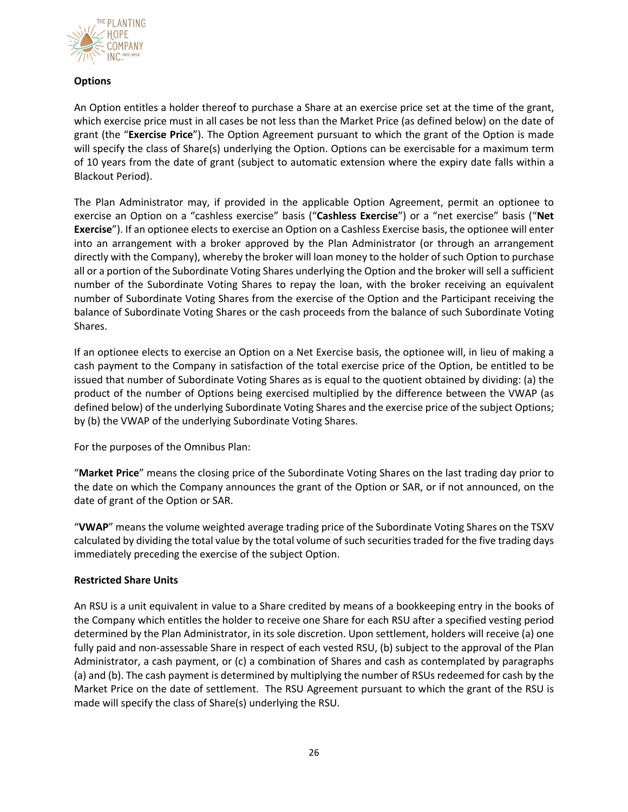

# **Options**

An Option entitles a holder thereof to purchase a Share at an exercise price set at the time of the grant, which exercise price must in all cases be not less than the Market Price (as defined below) on the date of grant (the "**Exercise Price**"). The Option Agreement pursuant to which the grant of the Option is made will specify the class of Share(s) underlying the Option. Options can be exercisable for a maximum term of 10 years from the date of grant (subject to automatic extension where the expiry date falls within a Blackout Period).

The Plan Administrator may, if provided in the applicable Option Agreement, permit an optionee to exercise an Option on a "cashless exercise" basis ("**Cashless Exercise**") or a "net exercise" basis ("**Net Exercise**"). If an optionee elects to exercise an Option on a Cashless Exercise basis, the optionee will enter into an arrangement with a broker approved by the Plan Administrator (or through an arrangement directly with the Company), whereby the broker will loan money to the holder of such Option to purchase all or a portion of the Subordinate Voting Shares underlying the Option and the broker will sell a sufficient number of the Subordinate Voting Shares to repay the loan, with the broker receiving an equivalent number of Subordinate Voting Shares from the exercise of the Option and the Participant receiving the balance of Subordinate Voting Shares or the cash proceeds from the balance of such Subordinate Voting Shares.

If an optionee elects to exercise an Option on a Net Exercise basis, the optionee will, in lieu of making a cash payment to the Company in satisfaction of the total exercise price of the Option, be entitled to be issued that number of Subordinate Voting Shares as is equal to the quotient obtained by dividing: (a) the product of the number of Options being exercised multiplied by the difference between the VWAP (as defined below) of the underlying Subordinate Voting Shares and the exercise price of the subject Options; by (b) the VWAP of the underlying Subordinate Voting Shares.

For the purposes of the Omnibus Plan:

"**Market Price**" means the closing price of the Subordinate Voting Shares on the last trading day prior to the date on which the Company announces the grant of the Option or SAR, or if not announced, on the date of grant of the Option or SAR.

"**VWAP**" means the volume weighted average trading price of the Subordinate Voting Shares on the TSXV calculated by dividing the total value by the total volume of such securities traded for the five trading days immediately preceding the exercise of the subject Option.

# **Restricted Share Units**

An RSU is a unit equivalent in value to a Share credited by means of a bookkeeping entry in the books of the Company which entitles the holder to receive one Share for each RSU after a specified vesting period determined by the Plan Administrator, in its sole discretion. Upon settlement, holders will receive (a) one fully paid and non-assessable Share in respect of each vested RSU, (b) subject to the approval of the Plan Administrator, a cash payment, or (c) a combination of Shares and cash as contemplated by paragraphs (a) and (b). The cash payment is determined by multiplying the number of RSUs redeemed for cash by the Market Price on the date of settlement. The RSU Agreement pursuant to which the grant of the RSU is made will specify the class of Share(s) underlying the RSU.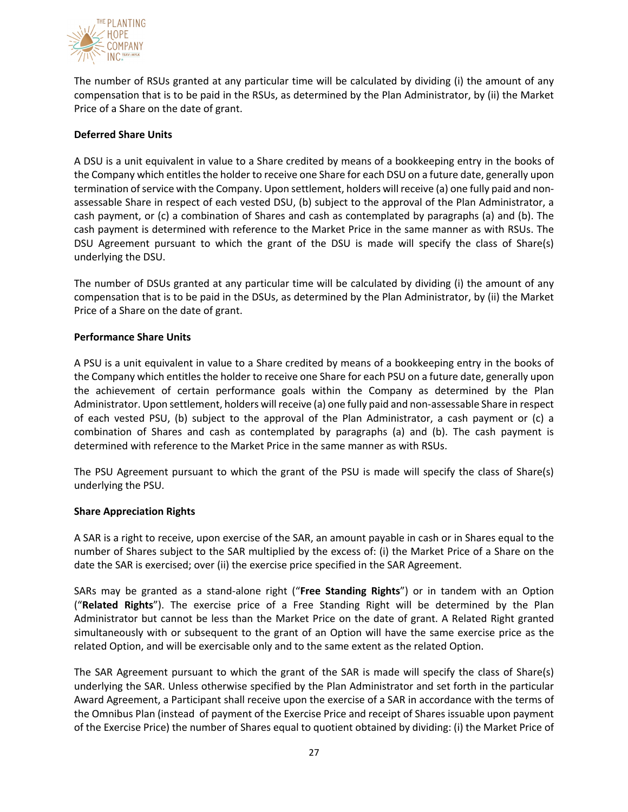

The number of RSUs granted at any particular time will be calculated by dividing (i) the amount of any compensation that is to be paid in the RSUs, as determined by the Plan Administrator, by (ii) the Market Price of a Share on the date of grant.

## **Deferred Share Units**

A DSU is a unit equivalent in value to a Share credited by means of a bookkeeping entry in the books of the Company which entitles the holder to receive one Share for each DSU on a future date, generally upon termination of service with the Company. Upon settlement, holders will receive (a) one fully paid and nonassessable Share in respect of each vested DSU, (b) subject to the approval of the Plan Administrator, a cash payment, or (c) a combination of Shares and cash as contemplated by paragraphs (a) and (b). The cash payment is determined with reference to the Market Price in the same manner as with RSUs. The DSU Agreement pursuant to which the grant of the DSU is made will specify the class of Share(s) underlying the DSU.

The number of DSUs granted at any particular time will be calculated by dividing (i) the amount of any compensation that is to be paid in the DSUs, as determined by the Plan Administrator, by (ii) the Market Price of a Share on the date of grant.

### **Performance Share Units**

A PSU is a unit equivalent in value to a Share credited by means of a bookkeeping entry in the books of the Company which entitles the holder to receive one Share for each PSU on a future date, generally upon the achievement of certain performance goals within the Company as determined by the Plan Administrator. Upon settlement, holders will receive (a) one fully paid and non-assessable Share in respect of each vested PSU, (b) subject to the approval of the Plan Administrator, a cash payment or (c) a combination of Shares and cash as contemplated by paragraphs (a) and (b). The cash payment is determined with reference to the Market Price in the same manner as with RSUs.

The PSU Agreement pursuant to which the grant of the PSU is made will specify the class of Share(s) underlying the PSU.

### **Share Appreciation Rights**

A SAR is a right to receive, upon exercise of the SAR, an amount payable in cash or in Shares equal to the number of Shares subject to the SAR multiplied by the excess of: (i) the Market Price of a Share on the date the SAR is exercised; over (ii) the exercise price specified in the SAR Agreement.

SARs may be granted as a stand-alone right ("**Free Standing Rights**") or in tandem with an Option ("**Related Rights**"). The exercise price of a Free Standing Right will be determined by the Plan Administrator but cannot be less than the Market Price on the date of grant. A Related Right granted simultaneously with or subsequent to the grant of an Option will have the same exercise price as the related Option, and will be exercisable only and to the same extent as the related Option.

The SAR Agreement pursuant to which the grant of the SAR is made will specify the class of Share(s) underlying the SAR. Unless otherwise specified by the Plan Administrator and set forth in the particular Award Agreement, a Participant shall receive upon the exercise of a SAR in accordance with the terms of the Omnibus Plan (instead of payment of the Exercise Price and receipt of Shares issuable upon payment of the Exercise Price) the number of Shares equal to quotient obtained by dividing: (i) the Market Price of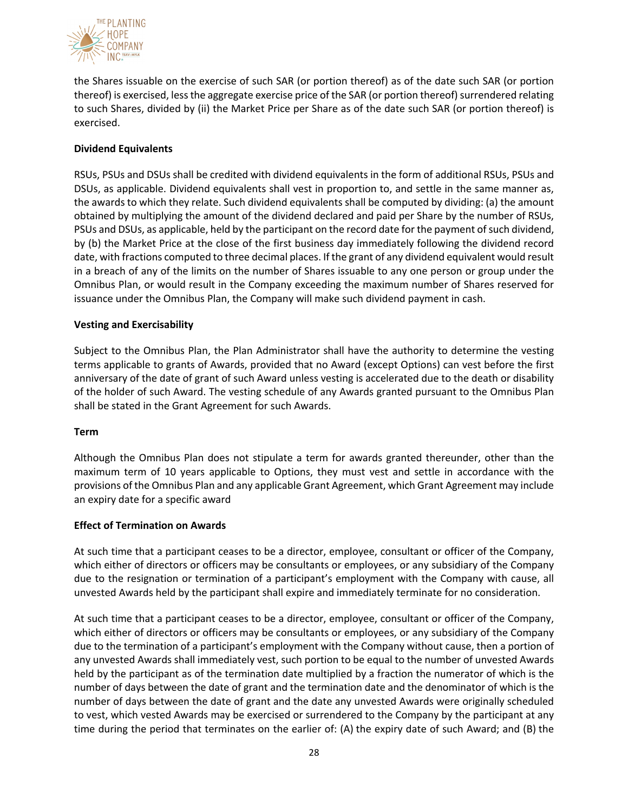

the Shares issuable on the exercise of such SAR (or portion thereof) as of the date such SAR (or portion thereof) is exercised, lessthe aggregate exercise price of the SAR (or portion thereof) surrendered relating to such Shares, divided by (ii) the Market Price per Share as of the date such SAR (or portion thereof) is exercised.

## **Dividend Equivalents**

RSUs, PSUs and DSUs shall be credited with dividend equivalents in the form of additional RSUs, PSUs and DSUs, as applicable. Dividend equivalents shall vest in proportion to, and settle in the same manner as, the awards to which they relate. Such dividend equivalents shall be computed by dividing: (a) the amount obtained by multiplying the amount of the dividend declared and paid per Share by the number of RSUs, PSUs and DSUs, as applicable, held by the participant on the record date for the payment of such dividend, by (b) the Market Price at the close of the first business day immediately following the dividend record date, with fractions computed to three decimal places. If the grant of any dividend equivalent would result in a breach of any of the limits on the number of Shares issuable to any one person or group under the Omnibus Plan, or would result in the Company exceeding the maximum number of Shares reserved for issuance under the Omnibus Plan, the Company will make such dividend payment in cash.

### **Vesting and Exercisability**

Subject to the Omnibus Plan, the Plan Administrator shall have the authority to determine the vesting terms applicable to grants of Awards, provided that no Award (except Options) can vest before the first anniversary of the date of grant of such Award unless vesting is accelerated due to the death or disability of the holder of such Award. The vesting schedule of any Awards granted pursuant to the Omnibus Plan shall be stated in the Grant Agreement for such Awards.

### **Term**

Although the Omnibus Plan does not stipulate a term for awards granted thereunder, other than the maximum term of 10 years applicable to Options, they must vest and settle in accordance with the provisions of the Omnibus Plan and any applicable Grant Agreement, which Grant Agreement may include an expiry date for a specific award

### **Effect of Termination on Awards**

At such time that a participant ceases to be a director, employee, consultant or officer of the Company, which either of directors or officers may be consultants or employees, or any subsidiary of the Company due to the resignation or termination of a participant's employment with the Company with cause, all unvested Awards held by the participant shall expire and immediately terminate for no consideration.

At such time that a participant ceases to be a director, employee, consultant or officer of the Company, which either of directors or officers may be consultants or employees, or any subsidiary of the Company due to the termination of a participant's employment with the Company without cause, then a portion of any unvested Awards shall immediately vest, such portion to be equal to the number of unvested Awards held by the participant as of the termination date multiplied by a fraction the numerator of which is the number of days between the date of grant and the termination date and the denominator of which is the number of days between the date of grant and the date any unvested Awards were originally scheduled to vest, which vested Awards may be exercised or surrendered to the Company by the participant at any time during the period that terminates on the earlier of: (A) the expiry date of such Award; and (B) the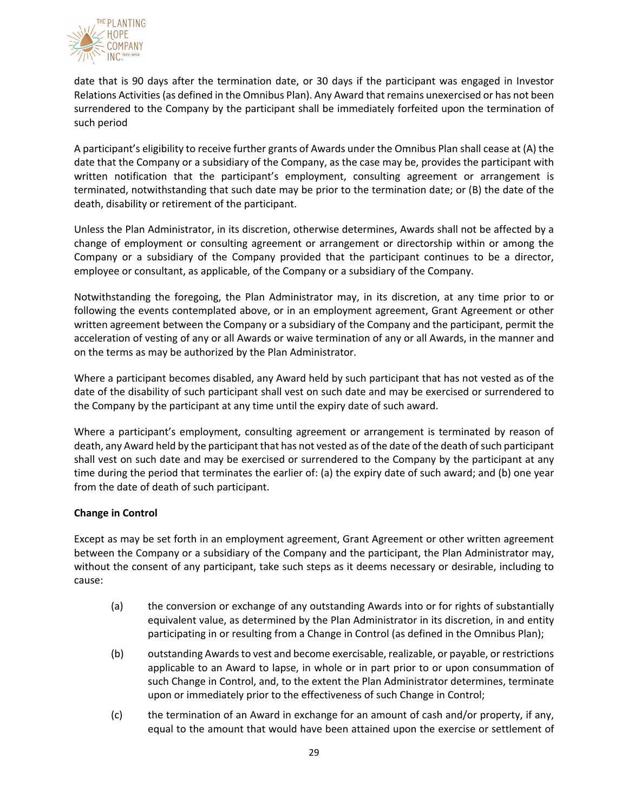

date that is 90 days after the termination date, or 30 days if the participant was engaged in Investor Relations Activities (as defined in the Omnibus Plan). Any Award that remains unexercised or has not been surrendered to the Company by the participant shall be immediately forfeited upon the termination of such period

A participant's eligibility to receive further grants of Awards under the Omnibus Plan shall cease at (A) the date that the Company or a subsidiary of the Company, as the case may be, provides the participant with written notification that the participant's employment, consulting agreement or arrangement is terminated, notwithstanding that such date may be prior to the termination date; or (B) the date of the death, disability or retirement of the participant.

Unless the Plan Administrator, in its discretion, otherwise determines, Awards shall not be affected by a change of employment or consulting agreement or arrangement or directorship within or among the Company or a subsidiary of the Company provided that the participant continues to be a director, employee or consultant, as applicable, of the Company or a subsidiary of the Company.

Notwithstanding the foregoing, the Plan Administrator may, in its discretion, at any time prior to or following the events contemplated above, or in an employment agreement, Grant Agreement or other written agreement between the Company or a subsidiary of the Company and the participant, permit the acceleration of vesting of any or all Awards or waive termination of any or all Awards, in the manner and on the terms as may be authorized by the Plan Administrator.

Where a participant becomes disabled, any Award held by such participant that has not vested as of the date of the disability of such participant shall vest on such date and may be exercised or surrendered to the Company by the participant at any time until the expiry date of such award.

Where a participant's employment, consulting agreement or arrangement is terminated by reason of death, any Award held by the participant that has not vested as of the date of the death of such participant shall vest on such date and may be exercised or surrendered to the Company by the participant at any time during the period that terminates the earlier of: (a) the expiry date of such award; and (b) one year from the date of death of such participant.

# **Change in Control**

Except as may be set forth in an employment agreement, Grant Agreement or other written agreement between the Company or a subsidiary of the Company and the participant, the Plan Administrator may, without the consent of any participant, take such steps as it deems necessary or desirable, including to cause:

- (a) the conversion or exchange of any outstanding Awards into or for rights of substantially equivalent value, as determined by the Plan Administrator in its discretion, in and entity participating in or resulting from a Change in Control (as defined in the Omnibus Plan);
- (b) outstanding Awards to vest and become exercisable, realizable, or payable, or restrictions applicable to an Award to lapse, in whole or in part prior to or upon consummation of such Change in Control, and, to the extent the Plan Administrator determines, terminate upon or immediately prior to the effectiveness of such Change in Control;
- (c) the termination of an Award in exchange for an amount of cash and/or property, if any, equal to the amount that would have been attained upon the exercise or settlement of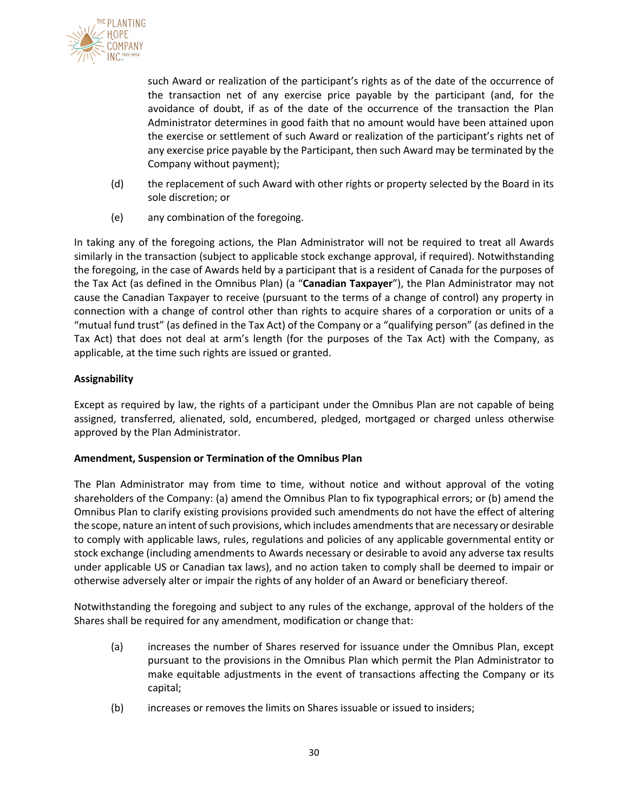

such Award or realization of the participant's rights as of the date of the occurrence of the transaction net of any exercise price payable by the participant (and, for the avoidance of doubt, if as of the date of the occurrence of the transaction the Plan Administrator determines in good faith that no amount would have been attained upon the exercise or settlement of such Award or realization of the participant's rights net of any exercise price payable by the Participant, then such Award may be terminated by the Company without payment);

- (d) the replacement of such Award with other rights or property selected by the Board in its sole discretion; or
- (e) any combination of the foregoing.

In taking any of the foregoing actions, the Plan Administrator will not be required to treat all Awards similarly in the transaction (subject to applicable stock exchange approval, if required). Notwithstanding the foregoing, in the case of Awards held by a participant that is a resident of Canada for the purposes of the Tax Act (as defined in the Omnibus Plan) (a "**Canadian Taxpayer**"), the Plan Administrator may not cause the Canadian Taxpayer to receive (pursuant to the terms of a change of control) any property in connection with a change of control other than rights to acquire shares of a corporation or units of a "mutual fund trust" (as defined in the Tax Act) of the Company or a "qualifying person" (as defined in the Tax Act) that does not deal at arm's length (for the purposes of the Tax Act) with the Company, as applicable, at the time such rights are issued or granted.

## **Assignability**

Except as required by law, the rights of a participant under the Omnibus Plan are not capable of being assigned, transferred, alienated, sold, encumbered, pledged, mortgaged or charged unless otherwise approved by the Plan Administrator.

### **Amendment, Suspension or Termination of the Omnibus Plan**

The Plan Administrator may from time to time, without notice and without approval of the voting shareholders of the Company: (a) amend the Omnibus Plan to fix typographical errors; or (b) amend the Omnibus Plan to clarify existing provisions provided such amendments do not have the effect of altering the scope, nature an intent of such provisions, which includes amendments that are necessary or desirable to comply with applicable laws, rules, regulations and policies of any applicable governmental entity or stock exchange (including amendments to Awards necessary or desirable to avoid any adverse tax results under applicable US or Canadian tax laws), and no action taken to comply shall be deemed to impair or otherwise adversely alter or impair the rights of any holder of an Award or beneficiary thereof.

Notwithstanding the foregoing and subject to any rules of the exchange, approval of the holders of the Shares shall be required for any amendment, modification or change that:

- (a) increases the number of Shares reserved for issuance under the Omnibus Plan, except pursuant to the provisions in the Omnibus Plan which permit the Plan Administrator to make equitable adjustments in the event of transactions affecting the Company or its capital;
- (b) increases or removes the limits on Shares issuable or issued to insiders;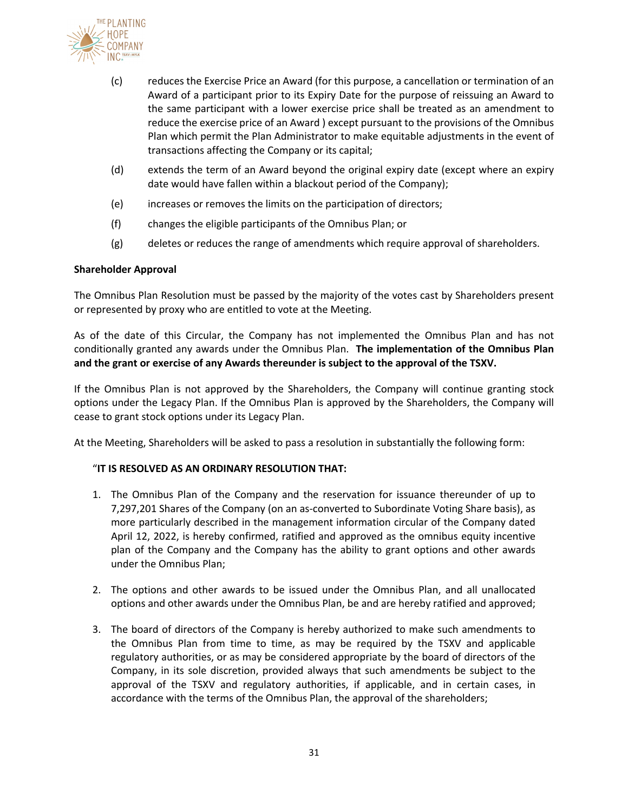

- (c) reduces the Exercise Price an Award (for this purpose, a cancellation or termination of an Award of a participant prior to its Expiry Date for the purpose of reissuing an Award to the same participant with a lower exercise price shall be treated as an amendment to reduce the exercise price of an Award ) except pursuant to the provisions of the Omnibus Plan which permit the Plan Administrator to make equitable adjustments in the event of transactions affecting the Company or its capital;
- (d) extends the term of an Award beyond the original expiry date (except where an expiry date would have fallen within a blackout period of the Company);
- (e) increases or removes the limits on the participation of directors;
- (f) changes the eligible participants of the Omnibus Plan; or
- (g) deletes or reduces the range of amendments which require approval of shareholders.

### **Shareholder Approval**

The Omnibus Plan Resolution must be passed by the majority of the votes cast by Shareholders present or represented by proxy who are entitled to vote at the Meeting.

As of the date of this Circular, the Company has not implemented the Omnibus Plan and has not conditionally granted any awards under the Omnibus Plan. **The implementation of the Omnibus Plan and the grant or exercise of any Awards thereunder is subject to the approval of the TSXV.**

If the Omnibus Plan is not approved by the Shareholders, the Company will continue granting stock options under the Legacy Plan. If the Omnibus Plan is approved by the Shareholders, the Company will cease to grant stock options under its Legacy Plan.

At the Meeting, Shareholders will be asked to pass a resolution in substantially the following form:

### "**IT IS RESOLVED AS AN ORDINARY RESOLUTION THAT:**

- 1. The Omnibus Plan of the Company and the reservation for issuance thereunder of up to 7,297,201 Shares of the Company (on an as-converted to Subordinate Voting Share basis), as more particularly described in the management information circular of the Company dated April 12, 2022, is hereby confirmed, ratified and approved as the omnibus equity incentive plan of the Company and the Company has the ability to grant options and other awards under the Omnibus Plan;
- 2. The options and other awards to be issued under the Omnibus Plan, and all unallocated options and other awards under the Omnibus Plan, be and are hereby ratified and approved;
- 3. The board of directors of the Company is hereby authorized to make such amendments to the Omnibus Plan from time to time, as may be required by the TSXV and applicable regulatory authorities, or as may be considered appropriate by the board of directors of the Company, in its sole discretion, provided always that such amendments be subject to the approval of the TSXV and regulatory authorities, if applicable, and in certain cases, in accordance with the terms of the Omnibus Plan, the approval of the shareholders;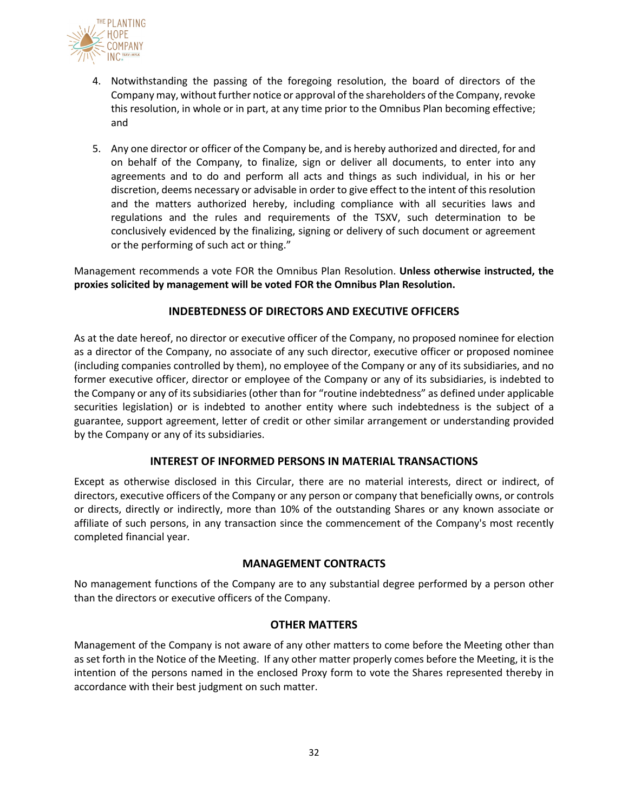

- 4. Notwithstanding the passing of the foregoing resolution, the board of directors of the Company may, without further notice or approval of the shareholders of the Company, revoke this resolution, in whole or in part, at any time prior to the Omnibus Plan becoming effective; and
- 5. Any one director or officer of the Company be, and is hereby authorized and directed, for and on behalf of the Company, to finalize, sign or deliver all documents, to enter into any agreements and to do and perform all acts and things as such individual, in his or her discretion, deems necessary or advisable in order to give effect to the intent of this resolution and the matters authorized hereby, including compliance with all securities laws and regulations and the rules and requirements of the TSXV, such determination to be conclusively evidenced by the finalizing, signing or delivery of such document or agreement or the performing of such act or thing."

Management recommends a vote FOR the Omnibus Plan Resolution. **Unless otherwise instructed, the proxies solicited by management will be voted FOR the Omnibus Plan Resolution.**

## **INDEBTEDNESS OF DIRECTORS AND EXECUTIVE OFFICERS**

As at the date hereof, no director or executive officer of the Company, no proposed nominee for election as a director of the Company, no associate of any such director, executive officer or proposed nominee (including companies controlled by them), no employee of the Company or any of its subsidiaries, and no former executive officer, director or employee of the Company or any of its subsidiaries, is indebted to the Company or any of its subsidiaries(other than for "routine indebtedness" as defined under applicable securities legislation) or is indebted to another entity where such indebtedness is the subject of a guarantee, support agreement, letter of credit or other similar arrangement or understanding provided by the Company or any of its subsidiaries.

# **INTEREST OF INFORMED PERSONS IN MATERIAL TRANSACTIONS**

Except as otherwise disclosed in this Circular, there are no material interests, direct or indirect, of directors, executive officers of the Company or any person or company that beneficially owns, or controls or directs, directly or indirectly, more than 10% of the outstanding Shares or any known associate or affiliate of such persons, in any transaction since the commencement of the Company's most recently completed financial year.

### **MANAGEMENT CONTRACTS**

No management functions of the Company are to any substantial degree performed by a person other than the directors or executive officers of the Company.

### **OTHER MATTERS**

Management of the Company is not aware of any other matters to come before the Meeting other than as set forth in the Notice of the Meeting. If any other matter properly comes before the Meeting, it is the intention of the persons named in the enclosed Proxy form to vote the Shares represented thereby in accordance with their best judgment on such matter.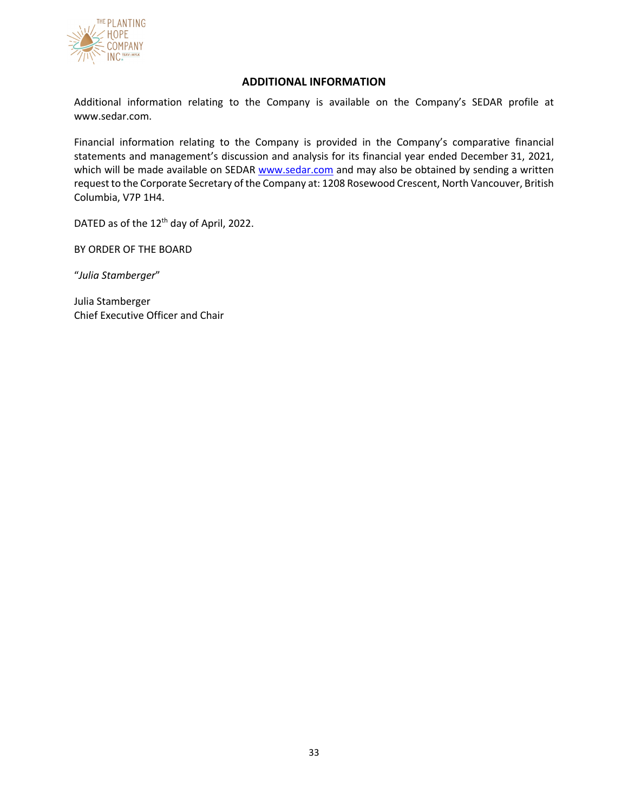

## **ADDITIONAL INFORMATION**

Additional information relating to the Company is available on the Company's SEDAR profile at www.sedar.com.

Financial information relating to the Company is provided in the Company's comparative financial statements and management's discussion and analysis for its financial year ended December 31, 2021, which will be made available on SEDAR www.sedar.com and may also be obtained by sending a written request to the Corporate Secretary of the Company at: 1208 Rosewood Crescent, North Vancouver, British Columbia, V7P 1H4.

DATED as of the 12<sup>th</sup> day of April, 2022.

BY ORDER OF THE BOARD

"*Julia Stamberger*"

Julia Stamberger Chief Executive Officer and Chair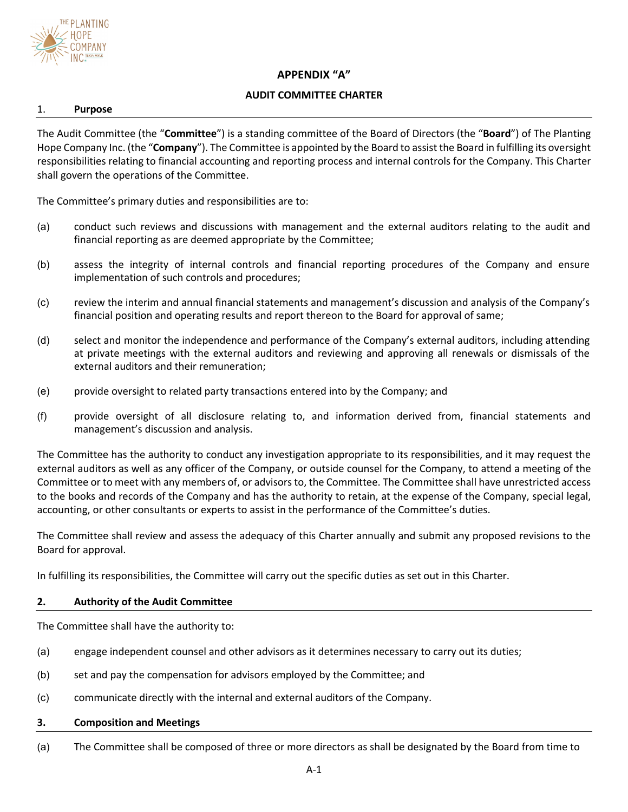

# **APPENDIX "A"**

## **AUDIT COMMITTEE CHARTER**

#### 1. **Purpose**

The Audit Committee (the "**Committee**") is a standing committee of the Board of Directors (the "**Board**") of The Planting Hope Company Inc. (the "**Company**"). The Committee is appointed by the Board to assist the Board in fulfilling its oversight responsibilities relating to financial accounting and reporting process and internal controls for the Company. This Charter shall govern the operations of the Committee.

The Committee's primary duties and responsibilities are to:

- (a) conduct such reviews and discussions with management and the external auditors relating to the audit and financial reporting as are deemed appropriate by the Committee;
- (b) assess the integrity of internal controls and financial reporting procedures of the Company and ensure implementation of such controls and procedures;
- (c) review the interim and annual financial statements and management's discussion and analysis of the Company's financial position and operating results and report thereon to the Board for approval of same;
- (d) select and monitor the independence and performance of the Company's external auditors, including attending at private meetings with the external auditors and reviewing and approving all renewals or dismissals of the external auditors and their remuneration;
- (e) provide oversight to related party transactions entered into by the Company; and
- (f) provide oversight of all disclosure relating to, and information derived from, financial statements and management's discussion and analysis.

The Committee has the authority to conduct any investigation appropriate to its responsibilities, and it may request the external auditors as well as any officer of the Company, or outside counsel for the Company, to attend a meeting of the Committee or to meet with any members of, or advisors to, the Committee. The Committee shall have unrestricted access to the books and records of the Company and has the authority to retain, at the expense of the Company, special legal, accounting, or other consultants or experts to assist in the performance of the Committee's duties.

The Committee shall review and assess the adequacy of this Charter annually and submit any proposed revisions to the Board for approval.

In fulfilling its responsibilities, the Committee will carry out the specific duties as set out in this Charter.

### **2. Authority of the Audit Committee**

The Committee shall have the authority to:

- (a) engage independent counsel and other advisors as it determines necessary to carry out its duties;
- (b) set and pay the compensation for advisors employed by the Committee; and
- (c) communicate directly with the internal and external auditors of the Company.

#### **3. Composition and Meetings**

(a) The Committee shall be composed of three or more directors as shall be designated by the Board from time to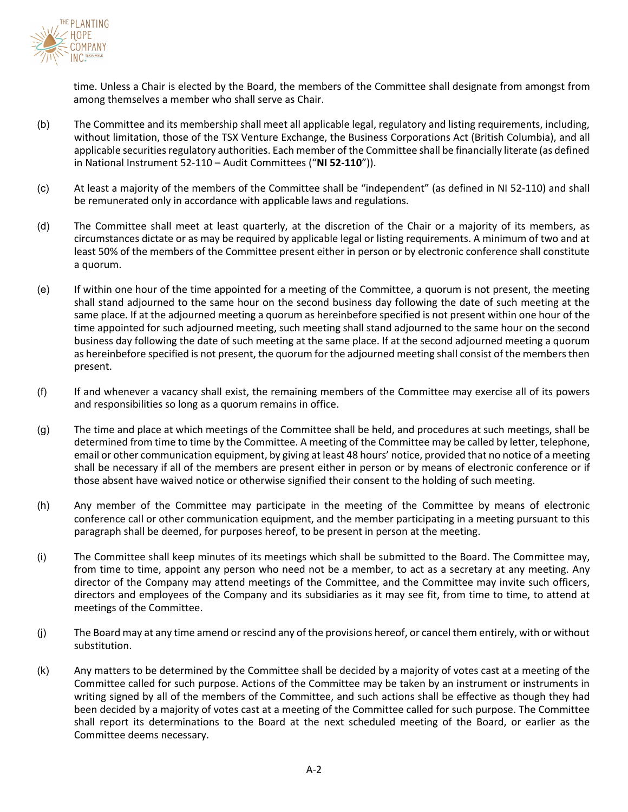

time. Unless a Chair is elected by the Board, the members of the Committee shall designate from amongst from among themselves a member who shall serve as Chair.

- (b) The Committee and its membership shall meet all applicable legal, regulatory and listing requirements, including, without limitation, those of the TSX Venture Exchange, the Business Corporations Act (British Columbia), and all applicable securities regulatory authorities. Each member of the Committee shall be financially literate (as defined in National Instrument 52-110 – Audit Committees ("**NI 52-110**")).
- (c) At least a majority of the members of the Committee shall be "independent" (as defined in NI 52-110) and shall be remunerated only in accordance with applicable laws and regulations.
- (d) The Committee shall meet at least quarterly, at the discretion of the Chair or a majority of its members, as circumstances dictate or as may be required by applicable legal or listing requirements. A minimum of two and at least 50% of the members of the Committee present either in person or by electronic conference shall constitute a quorum.
- (e) If within one hour of the time appointed for a meeting of the Committee, a quorum is not present, the meeting shall stand adjourned to the same hour on the second business day following the date of such meeting at the same place. If at the adjourned meeting a quorum as hereinbefore specified is not present within one hour of the time appointed for such adjourned meeting, such meeting shall stand adjourned to the same hour on the second business day following the date of such meeting at the same place. If at the second adjourned meeting a quorum as hereinbefore specified is not present, the quorum for the adjourned meeting shall consist of the members then present.
- (f) If and whenever a vacancy shall exist, the remaining members of the Committee may exercise all of its powers and responsibilities so long as a quorum remains in office.
- (g) The time and place at which meetings of the Committee shall be held, and procedures at such meetings, shall be determined from time to time by the Committee. A meeting of the Committee may be called by letter, telephone, email or other communication equipment, by giving at least 48 hours' notice, provided that no notice of a meeting shall be necessary if all of the members are present either in person or by means of electronic conference or if those absent have waived notice or otherwise signified their consent to the holding of such meeting.
- (h) Any member of the Committee may participate in the meeting of the Committee by means of electronic conference call or other communication equipment, and the member participating in a meeting pursuant to this paragraph shall be deemed, for purposes hereof, to be present in person at the meeting.
- (i) The Committee shall keep minutes of its meetings which shall be submitted to the Board. The Committee may, from time to time, appoint any person who need not be a member, to act as a secretary at any meeting. Any director of the Company may attend meetings of the Committee, and the Committee may invite such officers, directors and employees of the Company and its subsidiaries as it may see fit, from time to time, to attend at meetings of the Committee.
- (j) The Board may at any time amend or rescind any of the provisions hereof, or cancel them entirely, with or without substitution.
- (k) Any matters to be determined by the Committee shall be decided by a majority of votes cast at a meeting of the Committee called for such purpose. Actions of the Committee may be taken by an instrument or instruments in writing signed by all of the members of the Committee, and such actions shall be effective as though they had been decided by a majority of votes cast at a meeting of the Committee called for such purpose. The Committee shall report its determinations to the Board at the next scheduled meeting of the Board, or earlier as the Committee deems necessary.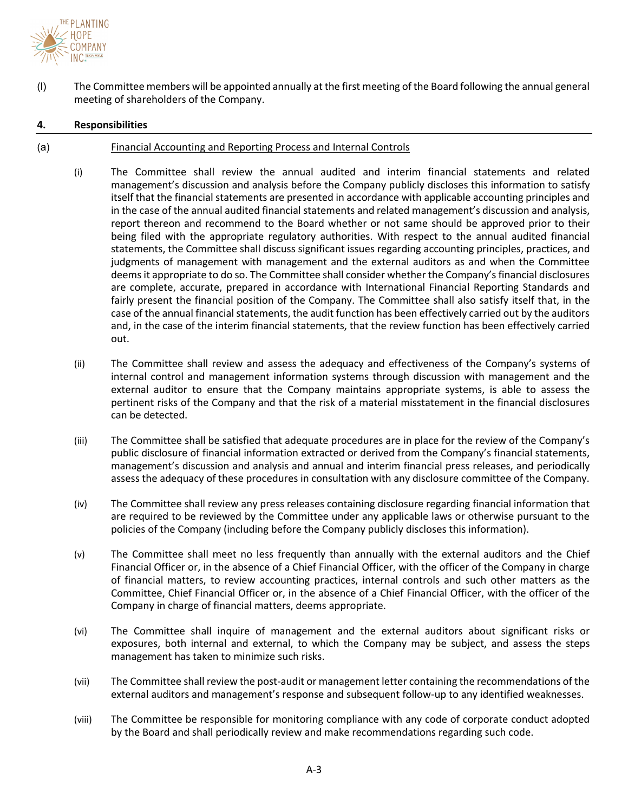

(l) The Committee members will be appointed annually at the first meeting of the Board following the annual general meeting of shareholders of the Company.

### **4. Responsibilities**

### (a) Financial Accounting and Reporting Process and Internal Controls

- (i) The Committee shall review the annual audited and interim financial statements and related management's discussion and analysis before the Company publicly discloses this information to satisfy itself that the financial statements are presented in accordance with applicable accounting principles and in the case of the annual audited financial statements and related management's discussion and analysis, report thereon and recommend to the Board whether or not same should be approved prior to their being filed with the appropriate regulatory authorities. With respect to the annual audited financial statements, the Committee shall discuss significant issues regarding accounting principles, practices, and judgments of management with management and the external auditors as and when the Committee deems it appropriate to do so. The Committee shall consider whether the Company's financial disclosures are complete, accurate, prepared in accordance with International Financial Reporting Standards and fairly present the financial position of the Company. The Committee shall also satisfy itself that, in the case of the annual financial statements, the audit function has been effectively carried out by the auditors and, in the case of the interim financial statements, that the review function has been effectively carried out.
- (ii) The Committee shall review and assess the adequacy and effectiveness of the Company's systems of internal control and management information systems through discussion with management and the external auditor to ensure that the Company maintains appropriate systems, is able to assess the pertinent risks of the Company and that the risk of a material misstatement in the financial disclosures can be detected.
- (iii) The Committee shall be satisfied that adequate procedures are in place for the review of the Company's public disclosure of financial information extracted or derived from the Company's financial statements, management's discussion and analysis and annual and interim financial press releases, and periodically assess the adequacy of these procedures in consultation with any disclosure committee of the Company.
- (iv) The Committee shall review any press releases containing disclosure regarding financial information that are required to be reviewed by the Committee under any applicable laws or otherwise pursuant to the policies of the Company (including before the Company publicly discloses this information).
- (v) The Committee shall meet no less frequently than annually with the external auditors and the Chief Financial Officer or, in the absence of a Chief Financial Officer, with the officer of the Company in charge of financial matters, to review accounting practices, internal controls and such other matters as the Committee, Chief Financial Officer or, in the absence of a Chief Financial Officer, with the officer of the Company in charge of financial matters, deems appropriate.
- (vi) The Committee shall inquire of management and the external auditors about significant risks or exposures, both internal and external, to which the Company may be subject, and assess the steps management has taken to minimize such risks.
- (vii) The Committee shall review the post-audit or management letter containing the recommendations of the external auditors and management's response and subsequent follow-up to any identified weaknesses.
- (viii) The Committee be responsible for monitoring compliance with any code of corporate conduct adopted by the Board and shall periodically review and make recommendations regarding such code.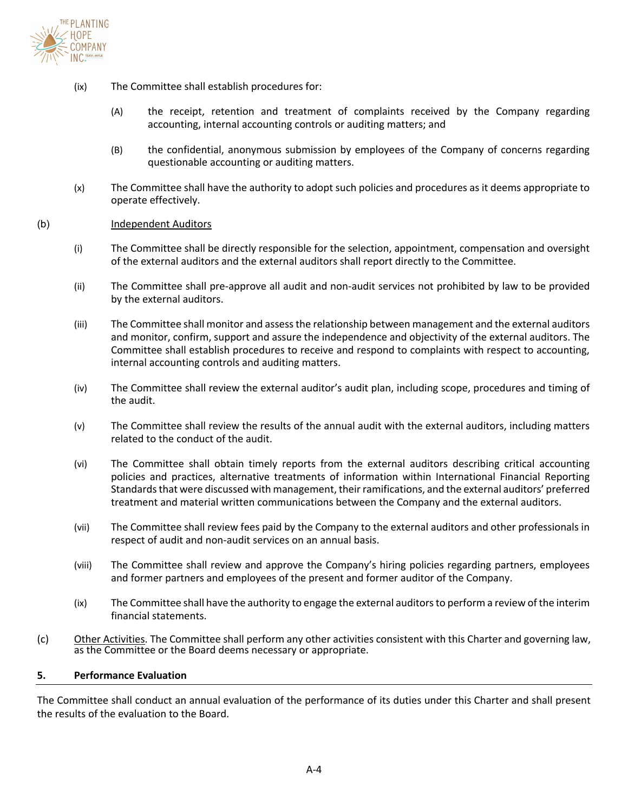

- (ix) The Committee shall establish procedures for:
	- (A) the receipt, retention and treatment of complaints received by the Company regarding accounting, internal accounting controls or auditing matters; and
	- (B) the confidential, anonymous submission by employees of the Company of concerns regarding questionable accounting or auditing matters.
- (x) The Committee shall have the authority to adopt such policies and procedures as it deems appropriate to operate effectively.

#### (b) Independent Auditors

- (i) The Committee shall be directly responsible for the selection, appointment, compensation and oversight of the external auditors and the external auditors shall report directly to the Committee.
- (ii) The Committee shall pre-approve all audit and non-audit services not prohibited by law to be provided by the external auditors.
- (iii) The Committee shall monitor and assess the relationship between management and the external auditors and monitor, confirm, support and assure the independence and objectivity of the external auditors. The Committee shall establish procedures to receive and respond to complaints with respect to accounting, internal accounting controls and auditing matters.
- (iv) The Committee shall review the external auditor's audit plan, including scope, procedures and timing of the audit.
- (v) The Committee shall review the results of the annual audit with the external auditors, including matters related to the conduct of the audit.
- (vi) The Committee shall obtain timely reports from the external auditors describing critical accounting policies and practices, alternative treatments of information within International Financial Reporting Standards that were discussed with management, their ramifications, and the external auditors' preferred treatment and material written communications between the Company and the external auditors.
- (vii) The Committee shall review fees paid by the Company to the external auditors and other professionals in respect of audit and non-audit services on an annual basis.
- (viii) The Committee shall review and approve the Company's hiring policies regarding partners, employees and former partners and employees of the present and former auditor of the Company.
- (ix) The Committee shall have the authority to engage the external auditors to perform a review of the interim financial statements.
- (c) Other Activities. The Committee shall perform any other activities consistent with this Charter and governing law, as the Committee or the Board deems necessary or appropriate.

#### **5. Performance Evaluation**

The Committee shall conduct an annual evaluation of the performance of its duties under this Charter and shall present the results of the evaluation to the Board.